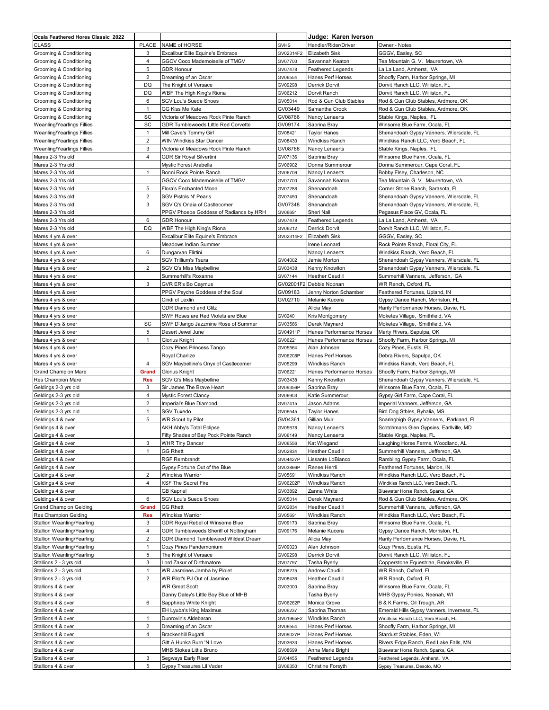| Ocala Feathered Hores Classic 2022       |                |                                                  |                     | Judge: Karen Iverson                          |                                                                         |
|------------------------------------------|----------------|--------------------------------------------------|---------------------|-----------------------------------------------|-------------------------------------------------------------------------|
| <b>CLASS</b>                             | PLACE          | NAME of HORSE                                    | <b>GVHS</b>         | Handler/Rider/Driver                          | Owner - Notes                                                           |
| Grooming & Conditioning                  | 3              | Excalibur Elite Equine's Embrace                 | GV02314F2           | <b>Elizabeth Sisk</b>                         | GGGV, Easley, SC                                                        |
| Grooming & Conditioning                  | $\overline{4}$ | GGCV Coco Mademoiselle of TMGV                   | GV07700             | Savannah Keaton                               | Tea Mountain G. V. Maurertown, VA                                       |
| Grooming & Conditioning                  | 5              | <b>GDR Honour</b>                                | GV07478             | <b>Feathered Legends</b>                      | La La Land, Amherst, VA                                                 |
| Grooming & Conditioning                  | $\overline{2}$ | Dreaming of an Oscar                             | GV06554             | Hanes Perf Horses                             | Shoofly Farm, Harbor Springs, MI                                        |
| Grooming & Conditioning                  | DQ             | The Knight of Versace                            | GV09298             | <b>Derrick Dorvit</b>                         | Dorvit Ranch LLC, Williston, FL                                         |
| Grooming & Conditioning                  | DQ             | WBF The High King's Riona                        | GV06212             | Dorvit Ranch                                  | Dorvit Ranch LLC, Williston, FL                                         |
| Grooming & Conditioning                  | 6              | SGV Lou's Suede Shoes                            | GV05014             | Rod & Gun Club Stables                        | Rod & Gun Club Stables, Ardmore, OK                                     |
| Grooming & Conditioning                  | $\mathbf{1}$   | GG Kiss Me Kate                                  | GV03449             | Samantha Crook                                | Rod & Gun Club Stables, Ardmore, OK                                     |
|                                          |                |                                                  |                     |                                               |                                                                         |
| Grooming & Conditioning                  | SC             | Victoria of Meadows Rock Pinte Ranch             | GV08766             | Nancy Lenaerts                                | Stable Kings, Naples, FL                                                |
| Weanling/Yearlings Fillies               | SC             | GDR Tumbleweeds Little Red Corvette              | GV09174             | Sabrina Bray                                  | Winsome Blue Farm, Ocala, FL                                            |
| Weanling/Yearlings Fillies               | $\mathbf{1}$   | Mill Cave's Tommy Girl                           | GV08421             | <b>Taylor Hanes</b>                           | Shenandoah Gypsy Vanners, Wiersdale, FL                                 |
| Weanling/Yearlings Fillies               | $\overline{2}$ | WIN Windkiss Star Dancer                         | GV08430             | <b>Windkiss Ranch</b>                         | Windkiss Ranch LLC, Vero Beach, FL                                      |
| Weanling/Yearlings Fillies               | 3              | Victoria of Meadows Rock Pinte Ranch             | GV08766             | Nancy Lenaerts                                | Stable Kings, Naples, FL                                                |
| Mares 2-3 Yrs old                        | $\overline{4}$ | <b>GDR Sir Royal Silvertini</b>                  | GV07136             | Sabrina Bray                                  | Winsome Blue Farm, Ocala, FL                                            |
| Mares 2-3 Yrs old                        |                | Mystic Forest Arabella                           | GV06902             | Donna Summerour                               | Donna Summerour, Cape Coral, FL                                         |
| Mares 2-3 Yrs old                        | $\mathbf{1}$   | Bonni Rock Pointe Ranch                          | GV06706             | Nancy Lenaerts                                | Bobby Elsey, Charleson, NC                                              |
| Mares 2-3 Yrs old                        |                | GGCV Coco Mademoiselle of TMGV                   | GV07700             | Savannah Keaton                               | Tea Mountain G. V. Maurertown, VA                                       |
| Mares 2-3 Yrs old                        | 5              | Flora's Enchanted Moon                           | GV07288             | Shenandoah                                    | Corner Stone Ranch, Sarasota, FL                                        |
| Mares 2-3 Yrs old                        | $\overline{2}$ | <b>SGV Pistols N' Pearls</b>                     | GV07450             | Shenandoah                                    | Shenandoah Gypsy Vanners, Wiersdale, FL                                 |
| Mares 2-3 Yrs old                        | 3              | SGV Q's Onaia of Castlecomer                     | GV07348             | Shenandoah                                    | Shenandoah Gypsy Vanners, Wiersdale, FL                                 |
| Mares 2-3 Yrs old                        |                | PPGV Phoebe Goddess of Radiance by HRH           | GV06691             | Sheri Nall                                    | Pegasus Place GV, Ocala, FL                                             |
| Mares 2-3 Yrs old                        | 6              | <b>GDR Honour</b>                                | GV07478             | <b>Feathered Legends</b>                      | La La Land, Amherst, VA                                                 |
| Mares 2-3 Yrs old                        | DQ             | WBF The High King's Riona                        | GV06212             | <b>Derrick Dorvit</b>                         | Dorvit Ranch LLC, Williston, FL                                         |
|                                          |                | Excalibur Elite Equine's Embrace                 |                     |                                               |                                                                         |
| Mares 4 yrs & over                       |                |                                                  | GV02314F2           | Elizabeth Sisk                                | GGGV, Easley, SC                                                        |
| Mares 4 yrs & over                       |                | Meadows Indian Summer                            |                     | Irene Leonard                                 | Rock Pointe Ranch, Floral City, FL                                      |
| Mares 4 yrs & over                       | 6              | Dungarvan Flirtini                               |                     | Nancy Lenaerts                                | Windkiss Ranch, Vero Beach, FL                                          |
| Mares 4 yrs & over                       |                | <b>SGV Trillium's Tsura</b>                      | GV04002             | Jamie Morton                                  | Shenandoah Gypsy Vanners, Wiersdale, FL                                 |
| Mares 4 yrs & over                       | $\overline{2}$ | SGV Q's Miss Maybelline                          | GV03438             | Kenny Knowlton                                | Shenandoah Gypsy Vanners, Wiersdale, FL                                 |
| Mares 4 yrs & over                       |                | Summerhill's Roxanne                             | GV07144             | <b>Heather Caudill</b>                        | Summerhill Vanners, Jefferson, GA                                       |
| Mares 4 yrs & over                       | 3              | GVR ER's Bo Caymus                               |                     | GV02001F2 Debbie Noonan                       | WR Ranch, Oxford, FL                                                    |
| Mares 4 yrs & over                       |                | PPGV Psyche Goddess of the Soul                  | GV09183             | Jenny Norton Schamber                         | Feathered Fortunes, Upland, IN                                          |
| Mares 4 yrs & over                       |                | Cindi of Lexlin                                  | GV02710             | Melanie Kucera                                | Gypsy Dance Ranch, Morriston, FL                                        |
| Mares 4 yrs & over                       |                | <b>GDR Diamond and Glitz</b>                     |                     | Alicia May                                    | Rarity Performance Horses, Davie, FL                                    |
| Mares 4 yrs & over                       |                | SWF Roses are Red Violets are Blue               | GV0240              | Kris Montgomery                               | Moketes Village, Smithfield, VA                                         |
| Mares 4 yrs & over                       | SC             | SWF D'Jango Jazzmine Rose of Summer              | GV03566             | Derek Maynard                                 | Moketes Village, Smithfield, VA                                         |
| Mares 4 yrs & over                       | 5              | Desert Jewel June                                | GV04911P            | Hanes Performance Horses                      | Marty Rivers, Sapulpa, OK                                               |
| Mares 4 yrs & over                       | $\mathbf{1}$   | Glorius Knight                                   | GV06221             | Hanes Performance Horses                      | Shoofly Farm, Harbor Springs, MI                                        |
| Mares 4 yrs & over                       |                | Cozy Pines Princess Tango                        | GV05564             | Alan Johnson                                  | Cozy Pines, Eustis, FL                                                  |
|                                          |                |                                                  |                     |                                               |                                                                         |
|                                          |                |                                                  |                     |                                               |                                                                         |
| Mares 4 yrs & over                       |                | Royal Charlize                                   | GV06208P            | <b>Hanes Perf Horses</b>                      | Debra Rivers, Sapulpa, OK                                               |
| Mares 4 yrs & over                       | $\overline{4}$ | SGV Maybelline's Onyx of Castlecomer             | GV05299             | Windkiss Ranch                                | Windkiss Ranch, Vero Beach, FL                                          |
| Grand Champion Mare                      | Grand          | Glorius Knight                                   | GV06221             | Hanes Performance Horses                      | Shoofly Farm, Harbor Springs, MI                                        |
| Res Champion Mare                        | <b>Res</b>     | SGV Q's Miss Maybelline                          | GV03438             | Kenny Knowlton                                | Shenandoah Gypsy Vanners, Wiersdale, FL                                 |
| Geldings 2-3 yrs old                     | 3              | Sir James The Brave Heart                        | GV09356P            | Sabrina Bray                                  | Winsome Blue Farm, Ocala, FL                                            |
| Geldings 2-3 yrs old                     | $\overline{4}$ | <b>Mystic Forest Clancy</b>                      | GV06903             | Katie Summerour                               | Gypsy Girl Farm, Cape Coral, FL                                         |
| Geldings 2-3 yrs old                     | 2              | Imperial's Blue Diamond                          | GV07415             | Jason Adams                                   | Imperial Vanners, Jefferson, GA                                         |
| Geldings 2-3 yrs old                     | $\mathbf{1}$   | SGV Tuxedo                                       | GV06545             | <b>Taylor Hanes</b>                           | Bird Dog Stbles, Byhalia, MS                                            |
| Geldings 4 & over                        | 5              | <b>WR Scout by Pilot</b>                         | GV04361             | Gillian Muir                                  | Soaringhigh Gypsy Vanners, Parkland, FL                                 |
| Geldings 4 & over                        |                | <b>AKH Abby's Total Eclipse</b>                  | GV05678             | Nancy Lenaerts                                | Scotchmans Glen Gypsies, Earllville, MD                                 |
| Geldings 4 & over                        |                | Fifty Shades of Bay Pock Pointe Ranch            | GV06149             | Nancy Lenaerts                                | Stable Kings, Naples, FL                                                |
| Geldings 4 & over                        | 3              | <b>WHR Tiny Dancer</b>                           | GV06556             | Kat Wiegand                                   | Laughing Horse Farms, Woodland, AL                                      |
| Geldings 4 & over                        | $\mathbf{1}$   | <b>GG Rhett</b>                                  | GV02834             | <b>Heather Caudill</b>                        | Summerhill Vanners, Jefferson, GA                                       |
| Geldings 4 & over                        |                | RGF Rembrandt                                    | GV04427P            | Lissante LoBianco                             | Rambling Gypsy Farm, Ocala, FL                                          |
| Geldings 4 & over                        |                | Gypsy Fortune Out of the Blue                    | GV03866P            | Renee Herrli                                  | Feathered Fortunes, Marion, IN                                          |
| Geldings 4 & over                        | $\sqrt{2}$     | <b>Windkiss Warrior</b>                          | GV05691             | Windkiss Ranch                                | Windkiss Ranch LLC, Vero Beach, FL                                      |
|                                          |                | <b>KSF The Secret Fire</b>                       |                     |                                               |                                                                         |
| Geldings 4 & over<br>Geldings 4 & over   | $\overline{4}$ | <b>GB Kapriel</b>                                | GV06202P<br>GV03892 | Windkiss Ranch<br>Zanna White                 | Windkiss Ranch LLC, Vero Beach, FL<br>Bluewater Horse Ranch, Sparks, GA |
|                                          |                |                                                  |                     |                                               |                                                                         |
| Geldings 4 & over                        | 6              | <b>SGV Lou's Suede Shoes</b>                     | GV05014             | Derek Maynard                                 | Rod & Gun Club Stables, Ardmore, OK                                     |
| <b>Grand Champion Gelding</b>            | Grand          | <b>GG Rhett</b>                                  | GV02834             | <b>Heather Caudill</b>                        | Summerhill Vanners, Jefferson, GA                                       |
| Res Champion Gelding                     | Res            | Windkiss Warrior                                 | GV05691             | Windkiss Ranch                                | Windkiss Ranch LLC, Vero Beach, FL                                      |
| <b>Stallion Weanling/Yearling</b>        | 3              | GDR Royal Rebel of Winsome Blue                  | GV09173             | Sabrina Bray                                  | Winsome Blue Farm, Ocala, FL                                            |
| Stallion Weanling/Yearling               | 4              | GDR Tumbleweeds Sheriff of Nottingham            | GV09176             | Melanie Kucera                                | Gypsy Dance Ranch, Morriston, FL                                        |
| Stallion Weanling/Yearling               | $\overline{c}$ | GDR Diamond Tumbleweed Wildest Dream             |                     | Alicia May                                    | Rarity Performance Horses, Davie, FL                                    |
| Stallion Weanling/Yearling               | $\mathbf{1}$   | Cozy Pines Pandemonium                           | GV09023             | Alan Johnson                                  | Cozy Pines, Eustis, FL                                                  |
| Stallion Weanling/Yearling               | 5              | The Knight of Versace                            | GV09298             | <b>Derrick Dorvit</b>                         | Dorvit Ranch LLC, Williston, FL                                         |
| Stallions 2 - 3 yrs old                  | 3              | Lord Zakur of Dirthmatore                        | GV07797             | Tasha Byerly                                  | Copperstone Equestrian, Brooksville, FL                                 |
| Stallions 2 - 3 yrs old                  | $\mathbf{1}$   | WR Jasmines Jamba by Piolet                      | GV08275             | Andrew Caudill                                | WR Ranch, Oxford, FL                                                    |
| Stallions 2 - 3 yrs old                  | 2              | WR Pilot's PJ Out of Jasmine                     | GV08436             | <b>Heather Caudill</b>                        | WR Ranch, Oxford, FL                                                    |
| Stallions 4 & over                       |                | WR Great Scott                                   | GV03000             | Sabrina Bray                                  | Winsome Blue Farm, Ocala, FL                                            |
| Stallions 4 & over                       |                | Danny Daley's Little Boy Blue of MHB             |                     | Tasha Byerly                                  | MHB Gypsy Ponies, Neenah, WI                                            |
| Stallions 4 & over                       | 6              | Sapphires White Knight                           | GV06262P            | Monica Grove                                  | B & K Farms, Oil Trough, AR                                             |
| Stallions 4 & over                       |                | EH Lyuba's King Maximus                          | GV06237             | Sabrina Thomas                                | Emerald Hills Gypsy Vanners, Inverness, FL                              |
| Stallions 4 & over                       | $\mathbf{1}$   | Dunrovin's Aldebaran                             | GV01965F2           | Windkiss Ranch                                | Windkiss Ranch LLC, Vero Beach, FL                                      |
|                                          | $\overline{2}$ |                                                  |                     |                                               |                                                                         |
| Stallions 4 & over                       |                | Dreaming of an Oscar                             | GV06554             | Hanes Perf Horses                             | Shoofly Farm, Harbor Springs, MI                                        |
| Stallions 4 & over                       | 4              | Brackenhill Bugatti                              | GV09027P            | Hanes Perf Horses                             | Stardust Stables, Eden, WI                                              |
| Stallions 4 & over                       |                | Gitt A Hunka Burn 'N Love                        | GV03633             | Hanes Perf Horses                             | Rivers Edge Ranch, Red Lake Falls, MN                                   |
| Stallions 4 & over                       |                | MHB Stokes Little Bruno                          | GV08699             | Anna Marie Bright                             | Bluewater Horse Ranch, Sparks, GA                                       |
| Stallions 4 & over<br>Stallions 4 & over | 3<br>5         | Segways Early Riser<br>Gypsy Treasures Lil Vader | GV04455<br>GV06350  | <b>Feathered Legends</b><br>Christine Forsyth | Feathered Legends, Amherst, VA<br>Gypsy Treasures, Desoto, MO           |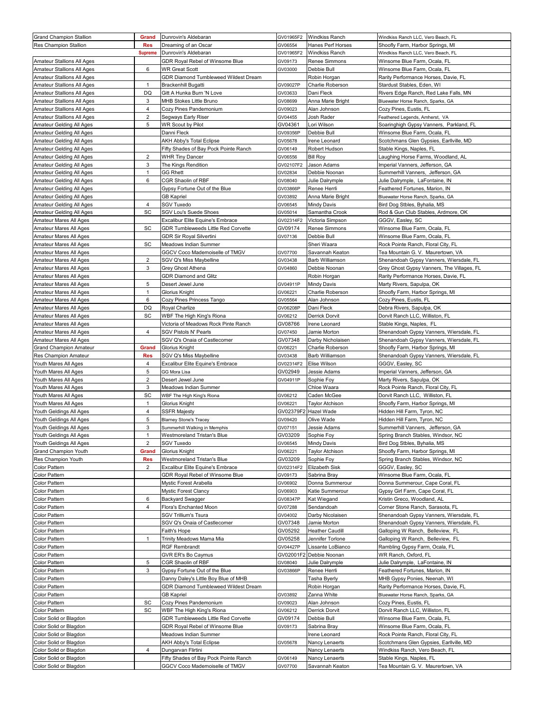| <b>Grand Champion Stallion</b>                       | Grand          | Dunrovin's Aldebaran                                     | GV01965F2           | <b>Windkiss Ranch</b>                 | Windkiss Ranch LLC, Vero Beach, FL                                  |
|------------------------------------------------------|----------------|----------------------------------------------------------|---------------------|---------------------------------------|---------------------------------------------------------------------|
| Res Champion Stallion                                | <b>Res</b>     | Dreaming of an Oscar                                     | GV06554             | Hanes Perf Horses                     | Shoofly Farm, Harbor Springs, MI                                    |
|                                                      | <b>Supreme</b> | Dunrovin's Aldebaran                                     | GV01965F2           | Windkiss Ranch                        | Windkiss Ranch LLC, Vero Beach, FL                                  |
| Amateur Stallions All Ages                           |                | GDR Royal Rebel of Winsome Blue                          | GV09173             | Renee Simmons                         | Winsome Blue Farm, Ocala, FL                                        |
| Amateur Stallions All Ages                           | 6              | <b>WR Great Scott</b>                                    | GV03000             | Debbie Bull                           | Winsome Blue Farm, Ocala, FL                                        |
| Amateur Stallions All Ages                           |                | GDR Diamond Tumbleweed Wildest Dream                     |                     | Robin Horgan                          | Rarity Performance Horses, Davie, FL                                |
| Amateur Stallions All Ages                           | $\mathbf{1}$   | Brackenhill Bugatti                                      | GV09027P            | Charlie Roberson                      | Stardust Stables, Eden, WI                                          |
| Amateur Stallions All Ages                           | DQ             | Gitt A Hunka Burn 'N Love                                | GV03633             | Dani Fleck                            | Rivers Edge Ranch, Red Lake Falls, MN                               |
| Amateur Stallions All Ages                           | 3              | MHB Stokes Little Bruno                                  | GV08699             | Anna Marie Bright                     | Bluewater Horse Ranch, Sparks, GA                                   |
| Amateur Stallions All Ages                           | 4              | Cozy Pines Pandemonium                                   | GV09023             | Alan Johnson                          | Cozy Pines, Eustis, FL                                              |
| Amateur Stallions All Ages                           | $\overline{2}$ | Segways Early Riser                                      | GV04455             | Josh Rader                            | Feathered Legends, Amherst, VA                                      |
| Amateur Gelding All Ages                             | 5              | <b>WR Scout by Pilot</b>                                 | GV04361             | Lori Wilson                           | Soaringhigh Gypsy Vanners, Parkland, FL                             |
| Amateur Gelding All Ages                             |                | Danni Fleck                                              | GV09356P            | Debbie Bull                           | Winsome Blue Farm, Ocala, FL                                        |
| Amateur Gelding All Ages                             |                | AKH Abby's Total Eclipse                                 | GV05678<br>GV06149  | Irene Leonard<br>Robert Hudson        | Scotchmans Glen Gypsies, Earllville, MD<br>Stable Kings, Naples, FL |
| Amateur Gelding All Ages<br>Amateur Gelding All Ages | $\overline{2}$ | Fifty Shades of Bay Pock Pointe Ranch<br>WHR Tiny Dancer | GV06556             | <b>Bill Roy</b>                       | Laughing Horse Farms, Woodland, AL                                  |
| Amateur Gelding All Ages                             | 3              | The Kings Rendition                                      | GV02107F2           | Jason Adams                           | Imperial Vanners, Jefferson, GA                                     |
| Amateur Gelding All Ages                             | $\mathbf{1}$   | GG Rhett                                                 | GV02834             | Debbie Noonan                         | Summerhill Vanners, Jefferson, GA                                   |
| Amateur Gelding All Ages                             | 6              | CGR Shaolin of RBF                                       | GV08040             | Julie Dalrymple                       | Julie Dalrymple, LaFontaine, IN                                     |
| Amateur Gelding All Ages                             |                | Gypsy Fortune Out of the Blue                            | GV03866P            | Renee Herrli                          | Feathered Fortunes, Marion, IN                                      |
| Amateur Gelding All Ages                             |                | <b>GB Kapriel</b>                                        | GV03892             | Anna Marie Bright                     | Bluewater Horse Ranch, Sparks, GA                                   |
| Amateur Gelding All Ages                             | 4              | <b>SGV Tuxedo</b>                                        | GV06545             | Mindy Davis                           | Bird Dog Stbles, Byhalia, MS                                        |
| Amateur Gelding All Ages                             | SC             | SGV Lou's Suede Shoes                                    | GV05014             | Samantha Crook                        | Rod & Gun Club Stables, Ardmore, OK                                 |
| Amateur Mares All Ages                               |                | Excalibur Elite Equine's Embrace                         | GV02314F2           | Victoria Simpson                      | GGGV, Easley, SC                                                    |
| Amateur Mares All Ages                               | SC             | GDR Tumbleweeds Little Red Corvette                      | GV09174             | Renee Simmons                         | Winsome Blue Farm, Ocala, FL                                        |
| Amateur Mares All Ages                               |                | GDR Sir Royal Silvertini                                 | GV07136             | Debbie Bull                           | Winsome Blue Farm, Ocala, FL                                        |
| Amateur Mares All Ages                               | SC             | Meadows Indian Summer                                    |                     | Sheri Waara                           | Rock Pointe Ranch, Floral City, FL                                  |
| Amateur Mares All Ages                               |                | GGCV Coco Mademoiselle of TMGV                           | GV07700             | Savannah Keaton                       | Tea Mountain G. V. Maurertown, VA                                   |
| Amateur Mares All Ages                               | $\overline{2}$ | SGV Q's Miss Maybelline                                  | GV03438             | Barb Williamson                       | Shenandoah Gypsy Vanners, Wiersdale, FL                             |
| Amateur Mares All Ages                               | 3              | Grey Ghost Athena                                        | GV04860             | Debbie Noonan                         | Grey Ghost Gypsy Vanners, The Villages, FL                          |
| Amateur Mares All Ages                               |                | <b>GDR Diamond and Glitz</b>                             |                     | Robin Horgan                          | Rarity Performance Horses, Davie, FL                                |
| Amateur Mares All Ages                               | 5              | Desert Jewel June                                        | GV04911P            | Mindy Davis                           | Marty Rivers, Sapulpa, OK                                           |
| Amateur Mares All Ages                               | $\mathbf{1}$   | Glorius Knight                                           | GV06221             | Charlie Roberson                      | Shoofly Farm, Harbor Springs, MI                                    |
| Amateur Mares All Ages                               | 6              | Cozy Pines Princess Tango                                | GV05564             | Alan Johnson                          | Cozy Pines, Eustis, FL                                              |
| Amateur Mares All Ages                               | DQ             | Royal Charlize                                           | GV06208P            | Dani Fleck                            | Debra Rivers, Sapulpa, OK                                           |
| Amateur Mares All Ages                               | SC             | WBF The High King's Riona                                | GV06212             | Derrick Dorvit                        | Dorvit Ranch LLC, Williston, FL                                     |
| Amateur Mares All Ages                               |                | Victoria of Meadows Rock Pinte Ranch                     | GV08766             | Irene Leonard                         | Stable Kings, Naples, FL                                            |
| Amateur Mares All Ages                               | 4              | <b>SGV Pistols N' Pearls</b>                             | GV07450             | Jamie Morton                          | Shenandoah Gypsy Vanners, Wiersdale, FL                             |
| Amateur Mares All Ages                               |                | SGV Q's Onaia of Castlecomer                             | GV07348             | Darby Nicholaisen                     | Shenandoah Gypsy Vanners, Wiersdale, FL                             |
| <b>Grand Champion Amateur</b>                        | Grand          | Glorius Knight                                           | GV06221             | Charlie Roberson                      | Shoofly Farm, Harbor Springs, MI                                    |
| Res Champion Amateur                                 | <b>Res</b>     | SGV Q's Miss Maybelline                                  | GV03438             | Barb Williamson                       | Shenandoah Gypsy Vanners, Wiersdale, FL                             |
| Youth Mares All Ages                                 | 4              | <b>Excalibur Elite Equine's Embrace</b>                  | GV02314F2           | Elise Wilson                          | GGGV, Easley, SC                                                    |
| Youth Mares All Ages                                 | 5              | GG Mora Lisa                                             | GV02949             | Jessie Adams                          | Imperial Vanners, Jefferson, GA                                     |
| Youth Mares All Ages                                 | 2              | Desert Jewel June                                        | GV04911P            | Sophie Foy                            | Marty Rivers, Sapulpa, OK                                           |
| Youth Mares All Ages                                 | 3              | Meadows Indian Summer                                    |                     | Chloe Waara                           |                                                                     |
|                                                      |                |                                                          |                     |                                       | Rock Pointe Ranch, Floral City, FL                                  |
| Youth Mares All Ages                                 | SC             | WBF The High King's Riona                                | GV06212             | Caden McGee                           | Dorvit Ranch LLC, Williston, FL                                     |
| Youth Mares All Ages                                 | 1              | Glorius Knight                                           | GV06221             | Taylor Atchison                       | Shoofly Farm, Harbor Springs, MI                                    |
| Youth Geldings All Ages                              | 4              | <b>SSFR Majesty</b>                                      | GV02379F2           | Hazel Wade                            | Hidden Hill Farm, Tyron, NC                                         |
| Youth Geldings All Ages                              | 5              | <b>Blarney Stone's Tracey</b>                            | GV09420             | Olive Wade                            | Hidden Hill Farm, Tyron, NC                                         |
| Youth Geldings All Ages                              | 3              | Summerhill Walking in Memphis                            | GV07151             | Jessie Adams                          | Summerhill Vanners, Jefferson, GA                                   |
| Youth Geldings All Ages                              | $\mathbf{1}$   | Westmoreland Tristan's Blue                              | GV03209             | Sophie Foy                            | Spring Branch Stables, Windsor, NC                                  |
| Youth Geldings All Ages                              | $\overline{2}$ | SGV Tuxedo                                               | GV06545             | Mindy Davis                           | Bird Dog Stbles, Byhalia, MS                                        |
| Grand Champion Youth                                 | Grand          | Glorius Knight                                           | GV06221             | Taylor Atchison                       | Shoofly Farm, Harbor Springs, MI                                    |
| Res Champion Youth                                   | <b>Res</b>     | Westmoreland Tristan's Blue                              | GV03209             | Sophie Foy                            | Spring Branch Stables, Windsor, NC                                  |
| Color Pattern                                        | $\overline{2}$ | Excalibur Elite Equine's Embrace                         | GV02314F2           | Elizabeth Sisk                        | GGGV, Easley, SC                                                    |
| Color Pattern                                        |                | GDR Royal Rebel of Winsome Blue                          | GV09173             | Sabrina Bray                          | Winsome Blue Farm, Ocala, FL                                        |
| Color Pattern                                        |                | Mystic Forest Arabella                                   | GV06902             | Donna Summerour                       | Donna Summerour, Cape Coral, FL                                     |
| Color Pattern                                        |                | <b>Mystic Forest Clancy</b>                              | GV06903             | Katie Summerour                       | Gypsy Girl Farm, Cape Coral, FL<br>Kristin Greco, Woodland, AL      |
| Color Pattern                                        | 6<br>4         | Backyard Swagger                                         | GV08347P            | Kat Wiegand                           |                                                                     |
| Color Pattern                                        |                | Flora's Enchanted Moon                                   | GV07288             | Sendandoah                            | Corner Stone Ranch, Sarasota, FL                                    |
| Color Pattern                                        |                | <b>SGV Trillium's Tsura</b>                              | GV04002             | Darby Nicolaisen                      | Shenandoah Gypsy Vanners, Wiersdale, FL                             |
| Color Pattern                                        |                | SGV Q's Onaia of Castlecomer                             | GV07348             | Jamie Morton                          | Shenandoah Gypsy Vanners, Wiersdale, FL                             |
| Color Pattern                                        | $\mathbf{1}$   | Faith's Hope                                             | GV05292             | <b>Heather Caudill</b>                | Galloping W Ranch, Belleview, FL                                    |
| Color Pattern<br>Color Pattern                       |                | Trinity Meadows Mama Mia<br><b>RGF Rembrandt</b>         | GV05258<br>GV04427P | Jennifer Torlone<br>Lissante LoBianco | Galloping W Ranch, Belleview, FL<br>Rambling Gypsy Farm, Ocala, FL  |
|                                                      |                |                                                          | GV02001F2           |                                       |                                                                     |
| Color Pattern<br>Color Pattern                       | 5              | GVR ER's Bo Caymus<br>CGR Shaolin of RBF                 | GV08040             | Debbie Noonan<br>Julie Dalrymple      | WR Ranch, Oxford, FL<br>Julie Dalrymple, LaFontaine, IN             |
| Color Pattern                                        | 3              | Gypsy Fortune Out of the Blue                            | GV03866P            | Renee Herrli                          | Feathered Fortunes, Marion, IN                                      |
| Color Pattern                                        |                | Danny Daley's Little Boy Blue of MHB                     |                     | Tasha Byerly                          | MHB Gypsy Ponies, Neenah, WI                                        |
| Color Pattern                                        |                | GDR Diamond Tumbleweed Wildest Dream                     |                     | Robin Horgan                          | Rarity Performance Horses, Davie, FL                                |
| Color Pattern                                        |                | <b>GB Kapriel</b>                                        | GV03892             | Zanna White                           | Bluewater Horse Ranch, Sparks, GA                                   |
| Color Pattern                                        | SC             | Cozy Pines Pandemonium                                   | GV09023             | Alan Johnson                          | Cozy Pines, Eustis, FL                                              |
| Color Pattern                                        | SC             | WBF The High King's Riona                                | GV06212             | Derrick Dorvit                        | Dorvit Ranch LLC, Williston, FL                                     |
| Color Solid or Blagdon                               |                | GDR Tumbleweeds Little Red Corvette                      | GV09174             | Debbie Bull                           | Winsome Blue Farm, Ocala, FL                                        |
| Color Solid or Blagdon                               |                | GDR Royal Rebel of Winsome Blue                          | GV09173             | Sabrina Bray                          | Winsome Blue Farm, Ocala, FL                                        |
| Color Solid or Blagdon                               |                | Meadows Indian Summer                                    |                     | Irene Leonard                         | Rock Pointe Ranch, Floral City, FL                                  |
| Color Solid or Blagdon                               |                | <b>AKH Abby's Total Eclipse</b>                          | GV05678             | Nancy Lenaerts                        | Scotchmans Glen Gypsies, Earllville, MD                             |
| Color Solid or Blagdon                               | 4              | Dungarvan Flirtini                                       |                     | Nancy Lenaerts                        | Windkiss Ranch, Vero Beach, FL                                      |
| Color Solid or Blagdon                               |                | Fifty Shades of Bay Pock Pointe Ranch                    | GV06149             | Nancy Lenaerts                        | Stable Kings, Naples, FL                                            |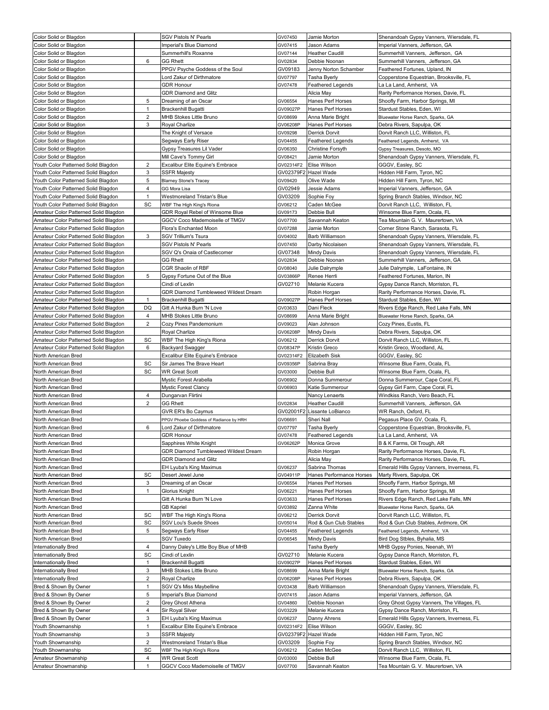| Color Solid or Blagdon                           |                     | <b>SGV Pistols N' Pearls</b>                            | GV07450             | Jamie Morton                           | Shenandoah Gypsy Vanners, Wiersdale, FL                              |
|--------------------------------------------------|---------------------|---------------------------------------------------------|---------------------|----------------------------------------|----------------------------------------------------------------------|
| Color Solid or Blagdon                           |                     | Imperial's Blue Diamond                                 | GV07415             | Jason Adams                            | Imperial Vanners, Jefferson, GA                                      |
| Color Solid or Blagdon                           |                     | Summerhill's Roxanne                                    | GV07144             | Heather Caudill                        | Summerhill Vanners, Jefferson, GA                                    |
| Color Solid or Blagdon                           | 6                   | <b>GG Rhett</b>                                         | GV02834             | Debbie Noonan                          | Summerhill Vanners, Jefferson, GA                                    |
| Color Solid or Blagdon                           |                     | PPGV Psyche Goddess of the Soul                         | GV09183             | Jenny Norton Schamber                  | Feathered Fortunes, Upland, IN                                       |
| Color Solid or Blagdon                           |                     | Lord Zakur of Dirthmatore                               | GV07797             | Tasha Byerly                           | Copperstone Equestrian, Brooksville, FL                              |
| Color Solid or Blagdon                           |                     | <b>GDR Honour</b>                                       | GV07478             | Feathered Legends                      | La La Land, Amherst, VA                                              |
| Color Solid or Blagdon                           |                     | GDR Diamond and Glitz                                   |                     | Alicia May                             | Rarity Performance Horses, Davie, FL                                 |
| Color Solid or Blagdon                           | 5                   | Dreaming of an Oscar                                    | GV06554             | Hanes Perf Horses                      | Shoofly Farm, Harbor Springs, MI                                     |
| Color Solid or Blagdon                           | 1<br>$\overline{2}$ | Brackenhill Bugatti                                     | GV09027P            | Hanes Perf Horses                      | Stardust Stables, Eden, WI                                           |
| Color Solid or Blagdon                           | 3                   | MHB Stokes Little Bruno<br>Royal Charlize               | GV08699<br>GV06208P | Anna Marie Bright<br>Hanes Perf Horses | Bluewater Horse Ranch, Sparks, GA<br>Debra Rivers, Sapulpa, OK       |
| Color Solid or Blagdon<br>Color Solid or Blagdon |                     | The Knight of Versace                                   | GV09298             | Derrick Dorvit                         | Dorvit Ranch LLC, Williston, FL                                      |
| Color Solid or Blagdon                           |                     | Segways Early Riser                                     | GV04455             | Feathered Legends                      | Feathered Legends, Amherst, VA                                       |
| Color Solid or Blagdon                           |                     | Gypsy Treasures Lil Vader                               | GV06350             | Christine Forsyth                      | Gypsy Treasures, Desoto, MO                                          |
| Color Solid or Blagdon                           |                     | Mill Cave's Tommy Girl                                  | GV08421             | Jamie Morton                           | Shenandoah Gypsy Vanners, Wiersdale, FL                              |
| Youth Color Patterned Solid Blagdon              | 2                   | Excalibur Elite Equine's Embrace                        | GV02314F2           | Elise Wilson                           | GGGV, Easley, SC                                                     |
| Youth Color Patterned Solid Blagdon              | 3                   | SSFR Majesty                                            | GV02379F2           | Hazel Wade                             | Hidden Hill Farm, Tyron, NC                                          |
| Youth Color Patterned Solid Blagdon              | 5                   | <b>Blamey Stone's Tracey</b>                            | GV09420             | Olive Wade                             | Hidden Hill Farm, Tyron, NC                                          |
| Youth Color Patterned Solid Blagdon              | $\overline{4}$      | GG Mora Lisa                                            | GV02949             | Jessie Adams                           | Imperial Vanners, Jefferson, GA                                      |
| Youth Color Patterned Solid Blagdon              | $\mathbf{1}$        | Westmoreland Tristan's Blue                             | GV03209             | Sophie Foy                             | Spring Branch Stables, Windsor, NC                                   |
| Youth Color Patterned Solid Blagdon              | SC                  | WBF The High King's Riona                               | GV06212             | Caden McGee                            | Dorvit Ranch LLC, Williston, FL                                      |
| Amateur Color Patterned Solid Blagdon            |                     | GDR Royal Rebel of Winsome Blue                         | GV09173             | Debbie Bull                            | Winsome Blue Farm, Ocala, FL                                         |
| Amateur Color Patterned Solid Blagdon            |                     | GGCV Coco Mademoiselle of TMGV                          | GV07700             | Savannah Keaton                        | Tea Mountain G. V. Maurertown, VA                                    |
| Amateur Color Patterned Solid Blagdon            |                     | Flora's Enchanted Moon                                  | GV07288             | Jamie Morton                           | Corner Stone Ranch, Sarasota, FL                                     |
| Amateur Color Patterned Solid Blagdon            | 3                   | SGV Trillium's Tsura                                    | GV04002             | Barb Williamson                        | Shenandoah Gypsy Vanners, Wiersdale, FL                              |
| Amateur Color Patterned Solid Blagdon            |                     | SGV Pistols N' Pearls                                   | GV07450             | Darby Nicolaisen                       | Shenandoah Gypsy Vanners, Wiersdale, FL                              |
| Amateur Color Patterned Solid Blagdon            |                     | SGV Q's Onaia of Castlecomer                            | GV07348             | Mindy Davis                            | Shenandoah Gypsy Vanners, Wiersdale, FL                              |
| Amateur Color Patterned Solid Blagdon            |                     | <b>GG Rhett</b>                                         | GV02834             | Debbie Noonan                          | Summerhill Vanners, Jefferson, GA                                    |
| Amateur Color Patterned Solid Blagdon            |                     | CGR Shaolin of RBF                                      | GV08040             | Julie Dalrymple                        | Julie Dalrymple, LaFontaine, IN                                      |
| Amateur Color Patterned Solid Blagdon            | 5                   | Gypsy Fortune Out of the Blue                           | GV03866P            | Renee Herrli                           | Feathered Fortunes, Marion, IN                                       |
| Amateur Color Patterned Solid Blagdon            |                     | Cindi of Lexlin                                         | GV02710             | Melanie Kucera                         | Gypsy Dance Ranch, Morriston, FL                                     |
| Amateur Color Patterned Solid Blagdon            |                     | GDR Diamond Tumbleweed Wildest Dream                    |                     | Robin Horgan                           | Rarity Performance Horses, Davie, FL                                 |
| Amateur Color Patterned Solid Blagdon            | 1                   | Brackenhill Bugatti                                     | GV09027P            | Hanes Perf Horses                      | Stardust Stables, Eden, WI                                           |
| Amateur Color Patterned Solid Blagdon            | DQ                  | Gitt A Hunka Burn 'N Love                               | GV03633             | Dani Fleck                             | Rivers Edge Ranch, Red Lake Falls, MN                                |
| Amateur Color Patterned Solid Blagdon            | 4                   | MHB Stokes Little Bruno                                 | GV08699             | Anna Marie Bright                      | Bluewater Horse Ranch, Sparks, GA                                    |
| Amateur Color Patterned Solid Blagdon            | 2                   | Cozy Pines Pandemonium                                  | GV09023             | Alan Johnson                           | Cozy Pines, Eustis, FL                                               |
| Amateur Color Patterned Solid Blagdon            |                     | Royal Charlize                                          | GV06208P            | Mindy Davis                            | Debra Rivers, Sapulpa, OK                                            |
| Amateur Color Patterned Solid Blagdon            | SC                  | WBF The High King's Riona                               | GV06212             | Derrick Dorvit                         | Dorvit Ranch LLC, Williston, FL                                      |
| Amateur Color Patterned Solid Blagdon            | 6                   | <b>Backyard Swagger</b>                                 |                     |                                        |                                                                      |
|                                                  |                     |                                                         | GV08347P            | Kristin Greco                          | Kristin Greco, Woodland, AL                                          |
| North American Bred                              |                     | Excalibur Elite Equine's Embrace                        | GV02314F2           | Elizabeth Sisk                         | GGGV, Easley, SC                                                     |
| North American Bred                              | SC                  | Sir James The Brave Heart                               | GV09356P            | Sabrina Bray                           | Winsome Blue Farm, Ocala, FL                                         |
| North American Bred                              | SC                  | <b>WR Great Scott</b>                                   | GV03000             | Debbie Bull                            | Winsome Blue Farm, Ocala, FL                                         |
| North American Bred                              |                     | Mystic Forest Arabella                                  | GV06902             | Donna Summerour                        | Donna Summerour, Cape Coral, FL                                      |
| North American Bred                              |                     | Mystic Forest Clancy                                    | GV06903             | Katie Summerour                        | Gypsy Girl Farm, Cape Coral, FL                                      |
| North American Bred                              | $\overline{4}$      | Dungarvan Flirtini                                      |                     | Nancy Lenaerts                         | Windkiss Ranch, Vero Beach, FL                                       |
| North American Bred                              | $\overline{2}$      | <b>GG Rhett</b>                                         | GV02834             | Heather Caudill                        | Summerhill Vanners, Jefferson, GA                                    |
| North American Bred                              |                     | GVR ER's Bo Caymus                                      | GV02001F2           | Lissante LoBianco                      | WR Ranch, Oxford, FL                                                 |
| North American Bred                              |                     | PPGV Phoebe Goddess of Radiance by HRH                  | GV06691             | Sheri Nall                             | Pegasus Place GV, Ocala, FL                                          |
| North American Bred                              | 6                   | Lord Zakur of Dirthmatore                               | GV07797             | Tasha Byerly                           | Copperstone Equestrian, Brooksville, FL                              |
| North American Bred                              |                     | <b>GDR Honour</b>                                       | GV07478             | Feathered Legends                      | La La Land, Amherst, VA                                              |
| North American Bred                              |                     | Sapphires White Knight                                  | GV06262P            | Monica Grove                           | B & K Farms, Oil Trough, AR                                          |
| North American Bred                              |                     | GDR Diamond Tumbleweed Wildest Dream                    |                     | Robin Horgan                           | Rarity Performance Horses, Davie, FL                                 |
| North American Bred                              |                     | <b>GDR Diamond and Glitz</b>                            |                     | Alicia May                             | Rarity Performance Horses, Davie, FL                                 |
| North American Bred                              |                     | EH Lyuba's King Maximus                                 | GV06237             | Sabrina Thomas                         | Emerald Hills Gypsy Vanners, Inverness, FL                           |
| North American Bred                              | SC                  | Desert Jewel June                                       | GV04911P            | Hanes Performance Horses               | Marty Rivers, Sapulpa, OK                                            |
| North American Bred                              | 3<br>1              | Dreaming of an Oscar                                    | GV06554             | Hanes Perf Horses                      | Shoofly Farm, Harbor Springs, MI                                     |
| North American Bred                              |                     | Glorius Knight<br>Gitt A Hunka Burn 'N Love             | GV06221<br>GV03633  | Hanes Perf Horses                      | Shoofly Farm, Harbor Springs, MI                                     |
| North American Bred                              |                     | <b>GB Kapriel</b>                                       | GV03892             | Hanes Perf Horses<br>Zanna White       | Rivers Edge Ranch, Red Lake Falls, MN                                |
| North American Bred<br>North American Bred       | SC                  | WBF The High King's Riona                               | GV06212             | Derrick Dorvit                         | Bluewater Horse Ranch, Sparks, GA<br>Dorvit Ranch LLC, Williston, FL |
|                                                  | SC                  | <b>SGV Lou's Suede Shoes</b>                            |                     | Rod & Gun Club Stables                 |                                                                      |
| North American Bred<br>North American Bred       | 5                   | Segways Early Riser                                     | GV05014<br>GV04455  | Feathered Legends                      | Rod & Gun Club Stables, Ardmore, OK                                  |
| North American Bred                              |                     | SGV Tuxedo                                              | GV06545             | Mindy Davis                            | Feathered Legends, Amherst, VA<br>Bird Dog Stbles, Byhalia, MS       |
| Internationally Bred                             | 4                   | Danny Daley's Little Boy Blue of MHB                    |                     | Tasha Byerly                           | MHB Gypsy Ponies, Neenah, WI                                         |
| Internationally Bred                             | SC                  | Cindi of Lexlin                                         | GV02710             | Melanie Kucera                         | Gypsy Dance Ranch, Morriston, FL                                     |
| Internationally Bred                             | 1                   | Brackenhill Bugatti                                     | GV09027P            | Hanes Perf Horses                      | Stardust Stables, Eden, WI                                           |
| Internationally Bred                             | 3                   | MHB Stokes Little Bruno                                 | GV08699             | Anna Marie Bright                      | Bluewater Horse Ranch, Sparks, GA                                    |
| Internationally Bred                             | $\overline{2}$      | Royal Charlize                                          | GV06208P            | Hanes Perf Horses                      | Debra Rivers, Sapulpa, OK                                            |
| Bred & Shown By Owner                            | 1                   | SGV Q's Miss Maybelline                                 | GV03438             | Barb Williamson                        | Shenandoah Gypsy Vanners, Wiersdale, FL                              |
| Bred & Shown By Owner                            | 5                   | Imperial's Blue Diamond                                 | GV07415             | Jason Adams                            | Imperial Vanners, Jefferson, GA                                      |
| Bred & Shown By Owner                            | $\overline{2}$      | Grey Ghost Athena                                       | GV04860             | Debbie Noonan                          | Grey Ghost Gypsy Vanners, The Villages, FL                           |
| Bred & Shown By Owner                            | 4                   | Sir Royal Silver                                        | GV03229             | Melanie Kucera                         | Gypsy Dance Ranch, Morriston, FL                                     |
| Bred & Shown By Owner                            | 3                   | EH Lyuba's King Maximus                                 | GV06237             | Danny Ahrens                           | Emerald Hills Gypsy Vanners, Inverness, FL                           |
| Youth Showmanship                                | $\mathbf{1}$        | Excalibur Elite Equine's Embrace                        | GV02314F2           | Elise Wilson                           | GGGV, Easley, SC                                                     |
| Youth Showmanship                                | 3                   | <b>SSFR Majesty</b>                                     | GV02379F2           | Hazel Wade                             | Hidden Hill Farm, Tyron, NC                                          |
| Youth Showmanship                                | $\overline{2}$      | Westmoreland Tristan's Blue                             | GV03209             | Sophie Foy                             | Spring Branch Stables, Windsor, NC                                   |
| Youth Showmanship                                | SC                  | WBF The High King's Riona                               | GV06212             | Caden McGee                            | Dorvit Ranch LLC, Williston, FL                                      |
| Amateur Showmanship<br>Amateur Showmanship       | 4                   | <b>WR Great Scott</b><br>GGCV Coco Mademoiselle of TMGV | GV03000<br>GV07700  | Debbie Bull<br>Savannah Keaton         | Winsome Blue Farm, Ocala, FL<br>Tea Mountain G. V. Maurertown, VA    |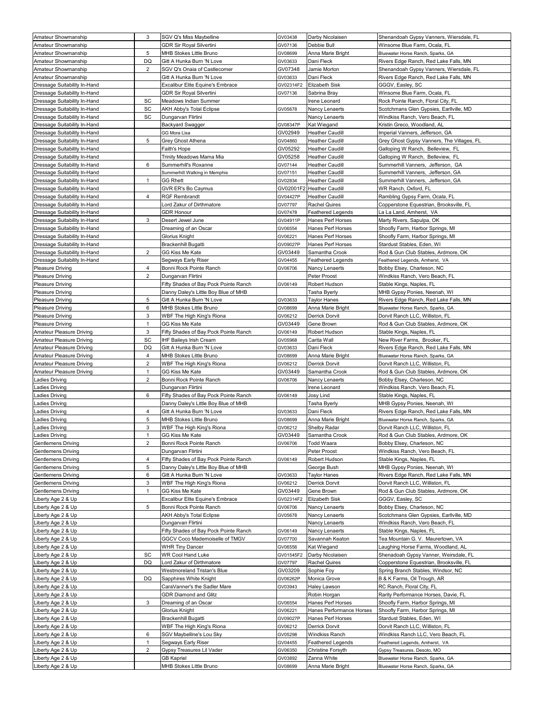| Amateur Showmanship                                          | 3              | SGV Q's Miss Maybelline                       | GV03438             | Darby Nicolaisen                | Shenandoah Gypsy Vanners, Wiersdale, FL                       |
|--------------------------------------------------------------|----------------|-----------------------------------------------|---------------------|---------------------------------|---------------------------------------------------------------|
| Amateur Showmanship                                          |                | <b>GDR Sir Royal Silvertini</b>               | GV07136             | Debbie Bull                     | Winsome Blue Farm, Ocala, FL                                  |
| Amateur Showmanship                                          | 5              | MHB Stokes Little Bruno                       | GV08699             | Anna Marie Bright               | Bluewater Horse Ranch, Sparks, GA                             |
| Amateur Showmanship                                          | DQ             | Gitt A Hunka Burn 'N Love                     | GV03633             | Dani Fleck                      | Rivers Edge Ranch, Red Lake Falls, MN                         |
| Amateur Showmanship                                          | 2              | SGV Q's Onaia of Castlecomer                  | GV07348             | Jamie Morton                    | Shenandoah Gypsy Vanners, Wiersdale, FL                       |
| Amateur Showmanship                                          |                | Gitt A Hunka Burn 'N Love                     | GV03633             | Dani Fleck                      | Rivers Edge Ranch, Red Lake Falls, MN                         |
| Dressage Suitability In-Hand                                 |                | Excalibur Elite Equine's Embrace              | GV02314F2           | Elizabeth Sisk                  | GGGV, Easley, SC                                              |
| Dressage Suitability In-Hand                                 |                | GDR Sir Royal Silvertini                      | GV07136             | Sabrina Bray                    | Winsome Blue Farm, Ocala, FL                                  |
| Dressage Suitability In-Hand                                 | SC             | Meadows Indian Summer                         |                     | Irene Leonard                   | Rock Pointe Ranch, Floral City, FL                            |
| Dressage Suitability In-Hand                                 | SC             | AKH Abby's Total Eclipse                      | GV05678             | Nancy Lenaerts                  | Scotchmans Glen Gypsies, Earllville, MD                       |
| Dressage Suitability In-Hand<br>Dressage Suitability In-Hand | SC             | Dungarvan Flirtini                            |                     | Nancy Lenaerts                  | Windkiss Ranch, Vero Beach, FL<br>Kristin Greco, Woodland, AL |
| Dressage Suitability In-Hand                                 |                | Backyard Swagger<br>GG Mora Lisa              | GV08347P<br>GV02949 | Kat Wiegand<br>Heather Caudill  | Imperial Vanners, Jefferson, GA                               |
| Dressage Suitability In-Hand                                 | 5              | Grey Ghost Athena                             | GV04860             | Heather Caudill                 | Grey Ghost Gypsy Vanners, The Villages, FL                    |
| Dressage Suitability In-Hand                                 |                | Faith's Hope                                  | GV05292             | <b>Heather Caudill</b>          | Galloping W Ranch, Belleview, FL                              |
| Dressage Suitability In-Hand                                 |                | Trinity Meadows Mama Mia                      | GV05258             | Heather Caudill                 | Galloping W Ranch, Belleview, FL                              |
| Dressage Suitability In-Hand                                 | 6              | Summerhill's Roxanne                          | GV07144             | Heather Caudill                 | Summerhill Vanners, Jefferson, GA                             |
| Dressage Suitability In-Hand                                 |                | Summerhill Walking in Memphis                 | GV07151             | Heather Caudill                 | Summerhill Vanners, Jefferson, GA                             |
| Dressage Suitability In-Hand                                 | $\mathbf{1}$   | <b>GG Rhett</b>                               | GV02834             | Heather Caudill                 | Summerhill Vanners, Jefferson, GA                             |
| Dressage Suitability In-Hand                                 |                | GVR ER's Bo Caymus                            | GV02001F2           | <b>Heather Caudill</b>          | WR Ranch, Oxford, FL                                          |
| Dressage Suitability In-Hand                                 | 4              | <b>RGF Rembrandt</b>                          | GV04427P            | Heather Caudill                 | Rambling Gypsy Farm, Ocala, FL                                |
| Dressage Suitability In-Hand                                 |                | ord Zakur of Dirthmatore                      | GV07797             | Rachel Quires                   | Copperstone Equestrian, Brooksville, FL                       |
| Dressage Suitability In-Hand                                 |                | <b>GDR Honour</b>                             | GV07478             | <b>Feathered Legends</b>        | La La Land, Amherst, VA                                       |
| Dressage Suitability In-Hand                                 | 3              | Desert Jewel June                             | GV04911P            | Hanes Perf Horses               | Marty Rivers, Sapulpa, OK                                     |
| Dressage Suitability In-Hand                                 |                | Dreaming of an Oscar                          | GV06554             | Hanes Perf Horses               | Shoofly Farm, Harbor Springs, MI                              |
| Dressage Suitability In-Hand                                 |                | Glorius Knight                                | GV06221             | Hanes Perf Horses               | Shoofly Farm, Harbor Springs, MI                              |
| Dressage Suitability In-Hand                                 |                | Brackenhill Bugatti                           | GV09027P            | Hanes Perf Horses               | Stardust Stables, Eden, WI                                    |
| Dressage Suitability In-Hand                                 | $\overline{2}$ | GG Kiss Me Kate                               | GV03449             | Samantha Crook                  | Rod & Gun Club Stables, Ardmore, OK                           |
| Dressage Suitability In-Hand                                 |                | Segways Early Riser                           | GV04455             | <b>Feathered Legends</b>        | Feathered Legends, Amherst, VA                                |
| <b>Pleasure Driving</b>                                      | $\overline{4}$ | Bonni Rock Pointe Ranch                       | GV06706             | Nancy Lenaerts                  | Bobby Elsey, Charleson, NC                                    |
| Pleasure Driving                                             | $\overline{2}$ | Dungarvan Flirtini                            |                     | Peter Proost                    | Windkiss Ranch, Vero Beach, FL                                |
| Pleasure Driving                                             |                | Fifty Shades of Bay Pock Pointe Ranch         | GV06149             | Robert Hudson                   | Stable Kings, Naples, FL                                      |
| Pleasure Driving                                             |                | Danny Daley's Little Boy Blue of MHB          |                     | Tasha Byerly                    | MHB Gypsy Ponies, Neenah, WI                                  |
| Pleasure Driving                                             | 5              | Gitt A Hunka Burn 'N Love                     | GV03633             | <b>Taylor Hanes</b>             | Rivers Edge Ranch, Red Lake Falls, MN                         |
| Pleasure Driving                                             | 6              | MHB Stokes Little Bruno                       | GV08699             | Anna Marie Bright               | Bluewater Horse Ranch, Sparks, GA                             |
| <b>Pleasure Driving</b>                                      | 3              | WBF The High King's Riona                     | GV06212             | Derrick Dorvit                  | Dorvit Ranch LLC, Williston, FL                               |
| <b>Pleasure Driving</b>                                      | 1              | GG Kiss Me Kate                               | GV03449             | Gene Brown                      | Rod & Gun Club Stables, Ardmore, OK                           |
| Amateur Pleasure Driving                                     | 3              | Fifty Shades of Bay Pock Pointe Ranch         | GV06149             | Robert Hudson                   | Stable Kings, Naples, FL                                      |
| Amateur Pleasure Driving                                     | SC             | IHF Baileys Irish Cream                       | GV05968             | Carita Wall                     | New River Farms, Brooker, FL                                  |
| Amateur Pleasure Driving                                     | DQ             | Gitt A Hunka Burn 'N Love                     | GV03633             | Dani Fleck                      | Rivers Edge Ranch, Red Lake Falls, MN                         |
| Amateur Pleasure Driving                                     | 4              | MHB Stokes Little Bruno                       | GV08699             | Anna Marie Bright               | Bluewater Horse Ranch, Sparks, GA                             |
| Amateur Pleasure Driving                                     | $\overline{2}$ | WBF The High King's Riona                     | GV06212             | Derrick Dorvit                  | Dorvit Ranch LLC, Williston, FL                               |
| Amateur Pleasure Driving                                     | 1              | GG Kiss Me Kate                               | GV03449             | Samantha Crook                  | Rod & Gun Club Stables, Ardmore, OK                           |
| Ladies Driving                                               | $\overline{2}$ | Bonni Rock Pointe Ranch<br>Dungarvan Flirtini | GV06706             | Nancy Lenaerts<br>Irene Leonard | Bobby Elsey, Charleson, NC<br>Windkiss Ranch, Vero Beach, FL  |
| Ladies Driving<br>Ladies Driving                             | 6              | Fifty Shades of Bay Pock Pointe Ranch         | GV06149             | Josy Lind                       | Stable Kings, Naples, FL                                      |
| Ladies Driving                                               |                | Danny Daley's Little Boy Blue of MHB          |                     | Tasha Byerly                    | MHB Gypsy Ponies, Neenah, WI                                  |
| Ladies Driving                                               | 4              | Gitt A Hunka Burn 'N Love                     | GV03633             | Dani Fleck                      | Rivers Edge Ranch, Red Lake Falls, MN                         |
| Ladies Driving                                               | 5              | MHB Stokes Little Bruno                       | GV08699             | Anna Marie Bright               | Bluewater Horse Ranch, Sparks, GA                             |
| Ladies Driving                                               | 3              | WBF The High King's Riona                     | GV06212             | Shelby Radar                    | Dorvit Ranch LLC, Williston, FL                               |
| Ladies Driving                                               | $\overline{1}$ | GG Kiss Me Kate                               | GV03449             | Samantha Crook                  | Rod & Gun Club Stables, Ardmore, OK                           |
| Gentlemens Driving                                           | $\overline{2}$ | Bonni Rock Pointe Ranch                       | GV06706             | <b>Todd Waara</b>               | Bobby Elsey, Charleson, NC                                    |
| <b>Gentlemens Driving</b>                                    |                | Dungarvan Flirtini                            |                     | Peter Proost                    | Windkiss Ranch, Vero Beach, FL                                |
| <b>Gentlemens Driving</b>                                    | 4              | Fifty Shades of Bay Pock Pointe Ranch         | GV06149             | Robert Hudson                   | Stable Kings, Naples, FL                                      |
| <b>Gentlemens Driving</b>                                    | 5              | Danny Daley's Little Boy Blue of MHB          |                     | George Bush                     | MHB Gypsy Ponies, Neenah, WI                                  |
| <b>Gentlemens Driving</b>                                    | 6              | Gitt A Hunka Burn 'N Love                     | GV03633             | <b>Taylor Hanes</b>             | Rivers Edge Ranch, Red Lake Falls, MN                         |
| <b>Gentlemens Driving</b>                                    | 3              | WBF The High King's Riona                     | GV06212             | Derrick Dorvit                  | Dorvit Ranch LLC, Williston, FL                               |
| Gentlemens Driving                                           | 1              | GG Kiss Me Kate                               | GV03449             | Gene Brown                      | Rod & Gun Club Stables, Ardmore, OK                           |
| Liberty Age 2 & Up                                           |                | Excalibur Elite Equine's Embrace              | GV02314F2           | Elizabeth Sisk                  | GGGV, Easley, SC                                              |
| Liberty Age 2 & Up                                           | 5              | Bonni Rock Pointe Ranch                       | GV06706             | Nancy Lenaerts                  | Bobby Elsey, Charleson, NC                                    |
| Liberty Age 2 & Up                                           |                | AKH Abby's Total Eclipse                      | GV05678             | Nancy Lenaerts                  | Scotchmans Glen Gypsies, Earllville, MD                       |
| Liberty Age 2 & Up                                           |                | Dungarvan Flirtini                            |                     | Nancy Lenaerts                  | Windkiss Ranch, Vero Beach, FL                                |
| Liberty Age 2 & Up                                           |                | Fifty Shades of Bay Pock Pointe Ranch         | GV06149             | Nancy Lenaerts                  | Stable Kings, Naples, FL                                      |
| Liberty Age 2 & Up                                           |                | GGCV Coco Mademoiselle of TMGV                | GV07700             | Savannah Keaton                 | Tea Mountain G. V. Maurertown, VA                             |
| Liberty Age 2 & Up                                           |                | <b>WHR Tiny Dancer</b>                        | GV06556             | Kat Wiegand                     | Laughing Horse Farms, Woodland, AL                            |
| Liberty Age 2 & Up                                           | SC             | WR Cool Hand Luke                             | GV01545F2           | Darby Nicolaisen                | Shenadoah Gypsy Vanner, Weirsdale, FL                         |
| Liberty Age 2 & Up                                           | DQ             | Lord Zakur of Dirthmatore                     | GV07797             | Rachel Quires                   | Copperstone Equestrian, Brooksville, FL                       |
| Liberty Age 2 & Up                                           |                | Westmoreland Tristan's Blue                   | GV03209             | Sophie Foy                      | Spring Branch Stables, Windsor, NC                            |
| Liberty Age 2 & Up                                           | DQ             | Sapphires White Knight                        | GV06262P            | Monica Grove                    | B & K Farms, Oil Trough, AR                                   |
| Liberty Age 2 & Up                                           |                | CaraVanner's the Sadler Mare                  | GV03943             | Haley Lawson                    | RC Ranch, Floral City, FL                                     |
| Liberty Age 2 & Up                                           |                | <b>GDR Diamond and Glitz</b>                  |                     | Robin Horgan                    | Rarity Performance Horses, Davie, FL                          |
| Liberty Age 2 & Up                                           | 3              | Dreaming of an Oscar                          | GV06554             | Hanes Perf Horses               | Shoofly Farm, Harbor Springs, MI                              |
| Liberty Age 2 & Up                                           |                | Glorius Knight                                | GV06221             | Hanes Performance Horses        | Shoofly Farm, Harbor Springs, MI                              |
| Liberty Age 2 & Up                                           |                | Brackenhill Bugatti                           | GV09027P            | Hanes Perf Horses               | Stardust Stables, Eden, WI                                    |
| Liberty Age 2 & Up                                           |                | WBF The High King's Riona                     | GV06212             | Derrick Dorvit                  | Dorvit Ranch LLC, Williston, FL                               |
| Liberty Age 2 & Up                                           | 6              | SGV Maybelline's Lou Sky                      | GV05298             | Windkiss Ranch                  | Windkiss Ranch LLC, Vero Beach, FL                            |
| Liberty Age 2 & Up                                           | 1              | Segways Early Riser                           | GV04455             | Feathered Legends               | Feathered Legends, Amherst, VA                                |
| Liberty Age 2 & Up                                           | $\overline{2}$ | Gypsy Treasures Lil Vader                     | GV06350             | Christine Forsyth               | Gypsy Treasures, Desoto, MO                                   |
| Liberty Age 2 & Up                                           |                | <b>GB Kapriel</b>                             | GV03892             | Zanna White                     | Bluewater Horse Ranch, Sparks, GA                             |
| Liberty Age 2 & Up                                           |                | MHB Stokes Little Bruno                       | GV08699             | Anna Marie Bright               | Bluewater Horse Ranch, Sparks, GA                             |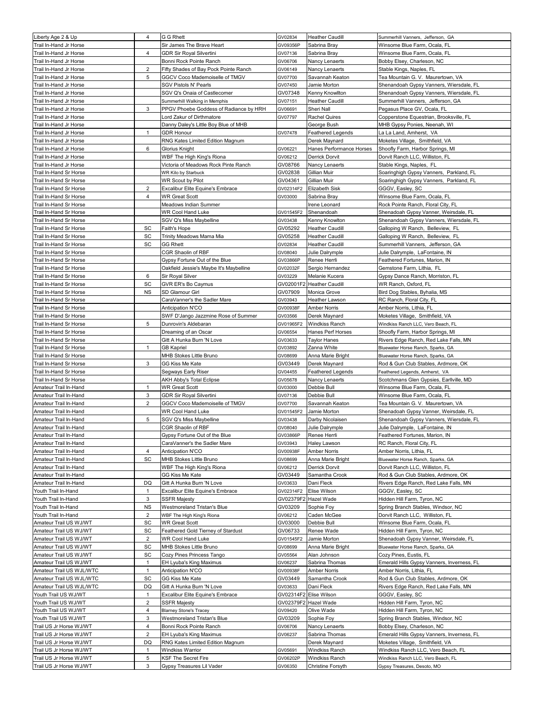| Liberty Age 2 & Up                               | 4              | G G Rhett                                                 | GV02834                | <b>Heather Caudill</b>       | Summerhill Vanners, Jefferson, GA                                       |
|--------------------------------------------------|----------------|-----------------------------------------------------------|------------------------|------------------------------|-------------------------------------------------------------------------|
| Trail In-Hand Jr Horse                           |                | Sir James The Brave Heart                                 | GV09356P               | Sabrina Bray                 | Winsome Blue Farm, Ocala, FL                                            |
| Trail In-Hand Jr Horse                           | 4              | <b>GDR Sir Royal Silvertini</b>                           | GV07136                | Sabrina Bray                 | Winsome Blue Farm, Ocala, FL                                            |
| Trail In-Hand Jr Horse                           |                | Bonni Rock Pointe Ranch                                   | GV06706                | Nancy Lenaerts               | Bobby Elsey, Charleson, NC                                              |
| Trail In-Hand Jr Horse                           | 2              | Fifty Shades of Bay Pock Pointe Ranch                     | GV06149                | Nancy Lenaerts               | Stable Kings, Naples, FL                                                |
| Trail In-Hand Jr Horse                           | 5              | GGCV Coco Mademoiselle of TMGV                            | GV07700                | Savannah Keaton              | Tea Mountain G. V. Maurertown, VA                                       |
| Trail In-Hand Jr Horse                           |                | SGV Pistols N' Pearls                                     | GV07450                | Jamie Morton                 | Shenandoah Gypsy Vanners, Wiersdale, FL                                 |
| Trail In-Hand Jr Horse                           |                | SGV Q's Onaia of Castlecomer                              | GV07348                | Kenny Knowllton              | Shenandoah Gypsy Vanners, Wiersdale, FL                                 |
| Trail In-Hand Jr Horse                           |                | Summerhill Walking in Memphis                             | GV07151                | Heather Caudill              | Summerhill Vanners, Jefferson, GA                                       |
| Trail In-Hand Jr Horse                           | 3              | PPGV Phoebe Goddess of Radiance by HRH                    | GV06691                | Sheri Nall                   | Pegasus Place GV, Ocala, FL                                             |
| Trail In-Hand Jr Horse<br>Trail In-Hand Jr Horse |                | Lord Zakur of Dirthmatore                                 | GV07797                | Rachel Quires<br>George Bush | Copperstone Equestrian, Brooksville, FL<br>MHB Gypsy Ponies, Neenah, WI |
| Trail In-Hand Jr Horse                           | $\mathbf{1}$   | Danny Daley's Little Boy Blue of MHB<br><b>GDR Honour</b> | GV07478                | Feathered Legends            | La La Land, Amherst,  VA                                                |
| Trail In-Hand Jr Horse                           |                | RNG Kates Limited Edition Magnum                          |                        | Derek Maynard                | Moketes Village, Smithfield, VA                                         |
| Trail In-Hand Jr Horse                           | 6              | Glorius Knight                                            | GV06221                | Hanes Performance Horses     | Shoofly Farm, Harbor Springs, MI                                        |
| Trail In-Hand Jr Horse                           |                | WBF The High King's Riona                                 | GV06212                | Derrick Dorvit               | Dorvit Ranch LLC, Williston, FL                                         |
| Trail In-Hand Jr Horse                           |                | Victoria of Meadows Rock Pinte Ranch                      | GV08766                | Nancy Lenaerts               | Stable Kings, Naples, FL                                                |
| Trail In-Hand Sr Horse                           |                | WR Kilo by Starbuck                                       | GV02838                | Gillian Muir                 | Soaringhigh Gypsy Vanners, Parkland, FL                                 |
| Trail In-Hand Sr Horse                           |                | <b>WR Scout by Pilot</b>                                  | GV04361                | Gillian Muir                 | Soaringhigh Gypsy Vanners, Parkland, FL                                 |
| Trail In-Hand Sr Horse                           | $\overline{c}$ | Excalibur Elite Equine's Embrace                          | GV02314F2              | Elizabeth Sisk               | GGGV, Easley, SC                                                        |
| Trail In-Hand Sr Horse                           | 4              | <b>WR Great Scott</b>                                     | GV03000                | Sabrina Bray                 | Winsome Blue Farm, Ocala, FL                                            |
| Trail In-Hand Sr Horse                           |                | Meadows Indian Summer                                     |                        | Irene Leonard                | Rock Pointe Ranch, Floral City, FL                                      |
| Trail In-Hand Sr Horse                           |                | WR Cool Hand Luke                                         | GV01545F2              | Shenandoah                   | Shenadoah Gypsy Vanner, Weirsdale, FL                                   |
| Trail In-Hand Sr Horse                           |                | SGV Q's Miss Maybelline                                   | GV03438                | Kenny Knowlton               | Shenandoah Gypsy Vanners, Wiersdale, FL                                 |
| Trail In-Hand Sr Horse                           | SC             | Faith's Hope                                              | GV05292                | Heather Caudill              | Galloping W Ranch, Belleview, FL                                        |
| Trail In-Hand Sr Horse                           | SC             | Trinity Meadows Mama Mia                                  | GV05258                | Heather Caudill              | Galloping W Ranch, Belleview, FL                                        |
| Trail In-Hand Sr Horse                           | SC             | <b>GG Rhett</b>                                           | GV02834                | <b>Heather Caudill</b>       | Summerhill Vanners, Jefferson, GA                                       |
| Trail In-Hand Sr Horse                           |                | CGR Shaolin of RBF                                        | GV08040                | Julie Dalrymple              | Julie Dalrymple, LaFontaine, IN                                         |
| Trail In-Hand Sr Horse                           |                | Gypsy Fortune Out of the Blue                             | GV03866P               | Renee Herrli                 | Feathered Fortunes, Marion, IN                                          |
| Trail In-Hand Sr Horse                           |                | Oakfield Jessie's Maybe It's Maybelline                   | GV02032F               | Sergio Hernandez             | Gemstone Farm, Lithia, FL                                               |
| Trail In-Hand Sr Horse                           | 6              | Sir Royal Silver                                          | GV03229                | Melanie Kucera               | Gypsy Dance Ranch, Morriston, FL                                        |
| Trail In-Hand Sr Horse                           | SC             | GVR ER's Bo Caymus                                        | GV02001F2              | <b>Heather Caudill</b>       | WR Ranch, Oxford, FL                                                    |
| Trail In-Hand Sr Horse                           | <b>NS</b>      | SD Glamour Girl                                           | GV07909                | Monica Grove                 | Bird Dog Stables, Byhalia, MS                                           |
| Trail In-Hand Sr Horse                           |                | CaraVanner's the Sadler Mare                              | GV03943                | Heather Lawson               | RC Ranch, Floral City, FL                                               |
| Trail In-Hand Sr Horse                           |                | Anticipation N'CO                                         | GV00938F               | Amber Norris                 | Amber Norris, Lithia, FL                                                |
| Trail In-Hand Sr Horse                           |                | SWF D'Jango Jazzmine Rose of Summer                       | GV03566                | Derek Maynard                | Moketes Village, Smithfield, VA                                         |
| Trail In-Hand Sr Horse                           | 5              | Dunrovin's Aldebaran                                      | GV01965F2              | Windkiss Ranch               | Windkiss Ranch LLC, Vero Beach, FL                                      |
| Trail In-Hand Sr Horse                           |                | Dreaming of an Oscar                                      | GV06554                | Hanes Perf Horses            | Shoofly Farm, Harbor Springs, MI                                        |
| Trail In-Hand Sr Horse                           |                | Gitt A Hunka Burn 'N Love                                 | GV03633                | Taylor Hanes                 | Rivers Edge Ranch, Red Lake Falls, MN                                   |
| Trail In-Hand Sr Horse                           | 1              | GB Kapriel                                                | GV03892                | Zanna White                  | Bluewater Horse Ranch, Sparks, GA                                       |
| Trail In-Hand Sr Horse                           |                | MHB Stokes Little Bruno                                   | GV08699                | Anna Marie Bright            | Bluewater Horse Ranch, Sparks, GA                                       |
| Trail In-Hand Sr Horse                           | 3              | GG Kiss Me Kate                                           | GV03449                | Derek Maynard                | Rod & Gun Club Stables, Ardmore, OK                                     |
| Trail In-Hand Sr Horse                           |                | Segways Early Riser                                       | GV04455                | Feathered Legends            | Feathered Legends, Amherst, VA                                          |
| Trail In-Hand Sr Horse                           |                | AKH Abby's Total Eclipse                                  | GV05678                | Nancy Lenaerts               | Scotchmans Glen Gypsies, Earllville, MD                                 |
| Amateur Trail In-Hand                            | $\mathbf{1}$   | <b>WR Great Scott</b>                                     | GV03000                | Debbie Bull                  | Winsome Blue Farm, Ocala, FL                                            |
| Amateur Trail In-Hand                            | 3              | GDR Sir Royal Silvertini                                  | GV07136                | Debbie Bull                  | Winsome Blue Farm, Ocala, FL                                            |
| Amateur Trail In-Hand                            | $\overline{2}$ | GGCV Coco Mademoiselle of TMGV                            | GV07700                | Savannah Keaton              | Tea Mountain G. V. Maurertown, VA                                       |
| Amateur Trail In-Hand                            |                | WR Cool Hand Luke                                         | GV01545F2              | Jamie Morton                 | Shenadoah Gypsy Vanner, Weirsdale, FL                                   |
| Amateur Trail In-Hand                            | 5              | SGV Q's Miss Maybelline                                   | GV03438                | Darby Nicolaisen             | Shenandoah Gypsy Vanners, Wiersdale, FL                                 |
| Amateur Trail In-Hand                            |                | CGR Shaolin of RBF                                        | GV08040                | Julie Dalrymple              | Julie Dalrymple, LaFontaine, IN                                         |
| Amateur Trail In-Hand                            |                | Gypsy Fortune Out of the Blue                             | GV03866P               | Renee Herrli                 | Feathered Fortunes, Marion, IN                                          |
| Amateur Trail In-Hand                            |                | CaraVanner's the Sadler Mare                              | GV03943                | Haley Lawson                 | RC Ranch, Floral City, FL                                               |
| Amateur Trail In-Hand                            | 4              | Anticipation N'CO                                         | GV00938F               | Amber Norris                 | Amber Norris, Lithia, FL                                                |
| Amateur Trail In-Hand                            | SC             | MHB Stokes Little Bruno                                   | GV08699                | Anna Marie Bright            | Bluewater Horse Ranch, Sparks, GA                                       |
| Amateur Trail In-Hand                            |                | WBF The High King's Riona                                 | GV06212                | Derrick Dorvit               | Dorvit Ranch LLC, Williston, FL                                         |
| Amateur Trail In-Hand                            |                | GG Kiss Me Kate                                           | GV03449                | Samantha Crook               | Rod & Gun Club Stables, Ardmore, OK                                     |
| Amateur Trail In-Hand                            | DQ<br>1        | Gitt A Hunka Burn 'N Love                                 | GV03633                | Dani Fleck                   | Rivers Edge Ranch, Red Lake Falls, MN                                   |
| Youth Trail In-Hand                              | 3              | Excalibur Elite Equine's Embrace                          | GV02314F2<br>GV02379F2 | Elise Wilson<br>Hazel Wade   | GGGV, Easley, SC                                                        |
| Youth Trail In-Hand<br>Youth Trail In-Hand       | ΝS             | SSFR Majesty<br>Westmoreland Tristan's Blue               | GV03209                | Sophie Foy                   | Hidden Hill Farm, Tyron, NC<br>Spring Branch Stables, Windsor, NC       |
| Youth Trail In-Hand                              | 2              | WBF The High King's Riona                                 | GV06212                | Caden McGee                  | Dorvit Ranch LLC, Williston, FL                                         |
| Amateur Trail US WJ/WT                           | SC             | WR Great Scott                                            | GV03000                | Debbie Bull                  | Winsome Blue Farm, Ocala, FL                                            |
| Amateur Trail US WJ/WT                           | SC             | Feathered Gold Tierney of Stardust                        | GV06733                | Renee Wade                   | Hidden Hill Farm, Tyron, NC                                             |
| Amateur Trail US WJ/WT                           | 2              | WR Cool Hand Luke                                         | GV01545F2              | Jamie Morton                 | Shenadoah Gypsy Vanner, Weirsdale, FL                                   |
| Amateur Trail US WJ/WT                           | SC             | MHB Stokes Little Bruno                                   | GV08699                | Anna Marie Bright            | Bluewater Horse Ranch, Sparks, GA                                       |
| Amateur Trail US WJ/WT                           | SC             | Cozy Pines Princess Tango                                 | GV05564                | Alan Johnson                 | Cozy Pines, Eustis, FL                                                  |
| Amateur Trail US WJ/WT                           | 1              | EH Lyuba's King Maximus                                   | GV06237                | Sabrina Thomas               | Emerald Hills Gypsy Vanners, Inverness, FL                              |
| Amateur Trail US WJL/WTC                         | $\mathbf{1}$   | Anticipation N'CO                                         | GV00938F               | Amber Norris                 | Amber Norris, Lithia, FL                                                |
| Amateur Trail US WJL/WTC                         | SC             | GG Kiss Me Kate                                           | GV03449                | Samantha Crook               | Rod & Gun Club Stables, Ardmore, OK                                     |
| Amateur Trail US WJL/WTC                         | DQ             | Gitt A Hunka Burn 'N Love                                 | GV03633                | Dani Fleck                   | Rivers Edge Ranch, Red Lake Falls, MN                                   |
| Youth Trail US WJ/WT                             | $\mathbf{1}$   | Excalibur Elite Equine's Embrace                          | GV02314F2              | Elise Wilson                 | GGGV, Easley, SC                                                        |
| Youth Trail US WJ/WT                             | $\overline{2}$ | <b>SSFR Majesty</b>                                       | GV02379F2              | Hazel Wade                   | Hidden Hill Farm, Tyron, NC                                             |
| Youth Trail US WJ/WT                             | 4              | <b>Blarney Stone's Tracey</b>                             | GV09420                | Olive Wade                   | Hidden Hill Farm, Tyron, NC                                             |
| Youth Trail US WJ/WT                             | 3              | Westmoreland Tristan's Blue                               | GV03209                | Sophie Foy                   | Spring Branch Stables, Windsor, NC                                      |
| Trail US Jr Horse WJ/WT                          | 4              | Bonni Rock Pointe Ranch                                   | GV06706                | Nancy Lenaerts               | Bobby Elsey, Charleson, NC                                              |
| Trail US Jr Horse WJ/WT                          | $\sqrt{2}$     | EH Lyuba's King Maximus                                   | GV06237                | Sabrina Thomas               | Emerald Hills Gypsy Vanners, Inverness, FL                              |
| Trail US Jr Horse WJ/WT                          | DQ             | RNG Kates Limited Edition Magnum                          |                        | Derek Maynard                | Moketes Village, Smithfield, VA                                         |
| Trail US Jr Horse WJ/WT                          | $\mathbf{1}$   | Windkiss Warrior                                          | GV05691                | Windkiss Ranch               | Windkiss Ranch LLC, Vero Beach, FL                                      |
| Trail US Jr Horse WJ/WT                          | 5              | KSF The Secret Fire                                       | GV06202P               | Windkiss Ranch               | Windkiss Ranch LLC, Vero Beach, FL                                      |
| Trail US Jr Horse WJ/WT                          | 3              | Gypsy Treasures Lil Vader                                 | GV06350                | Christine Forsyth            | Gypsy Treasures, Desoto, MO                                             |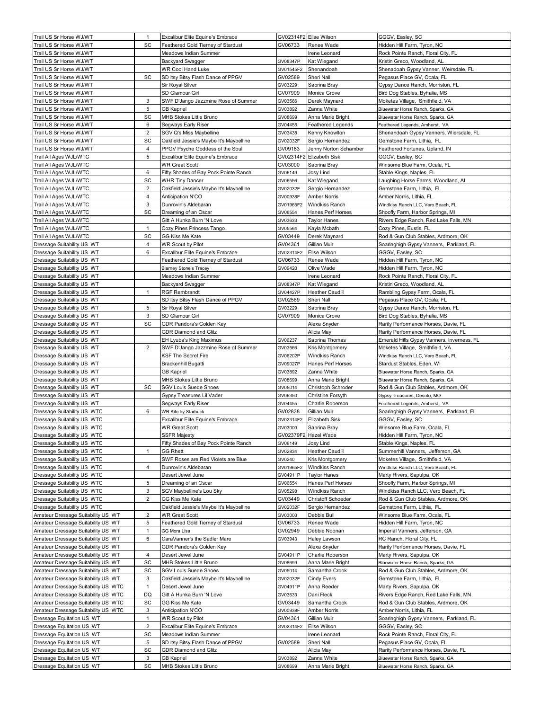| Trail US Sr Horse WJ/WT                                | $\mathbf{1}$   | Excalibur Elite Equine's Embrace        |           | GV02314F2 Elise Wilson   | GGGV, Easley, SC                                                  |
|--------------------------------------------------------|----------------|-----------------------------------------|-----------|--------------------------|-------------------------------------------------------------------|
| Trail US Sr Horse WJ/WT                                | SC             | Feathered Gold Tierney of Stardust      | GV06733   | Renee Wade               | Hidden Hill Farm, Tyron, NC                                       |
| Trail US Sr Horse WJ/WT                                |                | Meadows Indian Summer                   |           | Irene Leonard            | Rock Pointe Ranch, Floral City, FL                                |
| Trail US Sr Horse WJ/WT                                |                | <b>Backyard Swagger</b>                 | GV08347P  | Kat Wiegand              | Kristin Greco, Woodland, AL                                       |
| Trail US Sr Horse WJ/WT                                |                | WR Cool Hand Luke                       | GV01545F2 | Shenandoah               | Shenadoah Gypsy Vanner, Weirsdale, FL                             |
| Trail US Sr Horse WJ/WT                                | SC             | SD Itsy Bitsy Flash Dance of PPGV       | GV02589   | Sheri Nall               | Pegasus Place GV, Ocala, FL                                       |
| Trail US Sr Horse WJ/WT                                |                | Sir Royal Silver                        | GV03229   | Sabrina Bray             | Gypsy Dance Ranch, Morriston, FL                                  |
| Trail US Sr Horse WJ/WT                                |                | SD Glamour Girl                         | GV07909   | Monica Grove             | Bird Dog Stables, Byhalia, MS                                     |
| Trail US Sr Horse WJ/WT                                | 3              | SWF D'Jango Jazzmine Rose of Summer     | GV03566   | Derek Maynard            | Moketes Village, Smithfield, VA                                   |
| Trail US Sr Horse WJ/WT                                | 5              | <b>GB Kapriel</b>                       | GV03892   | Zanna White              | Bluewater Horse Ranch, Sparks, GA                                 |
| Trail US Sr Horse WJ/WT                                | SC             | MHB Stokes Little Bruno                 | GV08699   | Anna Marie Bright        | Bluewater Horse Ranch, Sparks, GA                                 |
| Trail US Sr Horse WJ/WT                                | 6              | Segways Early Riser                     | GV04455   | <b>Feathered Legends</b> | Feathered Legends, Amherst, VA                                    |
| Trail US Sr Horse WJ/WT                                | $\overline{2}$ | SGV Q's Miss Maybelline                 | GV03438   | Kenny Knowlton           | Shenandoah Gypsy Vanners, Wiersdale, FL                           |
| Trail US Sr Horse WJ/WT                                | SC             | Oakfield Jessie's Maybe It's Maybelline | GV02032F  | Sergio Hernandez         | Gemstone Farm, Lithia, FL                                         |
| Trail US Sr Horse WJ/WT                                | $\overline{4}$ | PPGV Psyche Goddess of the Soul         | GV09183   | Jenny Norton Schamber    | Feathered Fortunes, Upland, IN                                    |
| Trail All Ages WJL/WTC                                 | 5              | Excalibur Elite Equine's Embrace        | GV02314F2 | <b>Elizabeth Sisk</b>    | GGGV, Easley, SC                                                  |
| Trail All Ages WJL/WTC                                 |                | <b>WR Great Scott</b>                   | GV03000   | Sabrina Bray             | Winsome Blue Farm, Ocala, FL                                      |
| Trail All Ages WJL/WTC                                 | 6              | Fifty Shades of Bay Pock Pointe Ranch   | GV06149   | Josy Lind                | Stable Kings, Naples, FL                                          |
| Trail All Ages WJL/WTC                                 | SC             | <b>WHR Tiny Dancer</b>                  | GV06556   | Kat Wiegand              | Laughing Horse Farms, Woodland, AL                                |
| Trail All Ages WJL/WTC                                 | $\overline{2}$ | Oakfield Jessie's Maybe It's Maybelline | GV02032F  | Sergio Hernandez         | Gemstone Farm, Lithia,  FL                                        |
| Trail All Ages WJL/WTC                                 | $\overline{4}$ | Anticipation N'CO                       | GV00938F  | Amber Norris             | Amber Norris, Lithia, FL                                          |
| Trail All Ages WJL/WTC                                 | 3              | Dunrovin's Aldebaran                    | GV01965F2 | Windkiss Ranch           | Windkiss Ranch LLC, Vero Beach, FL                                |
| Trail All Ages WJL/WTC                                 | SC             | Dreaming of an Oscar                    | GV06554   | Hanes Perf Horses        | Shoofly Farm, Harbor Springs, MI                                  |
| Trail All Ages WJL/WTC                                 |                | Gitt A Hunka Burn 'N Love               | GV03633   | Taylor Hanes             | Rivers Edge Ranch, Red Lake Falls, MN                             |
| Trail All Ages WJL/WTC                                 | $\mathbf{1}$   | Cozy Pines Princess Tango               | GV05564   | Kayla Mcbath             | Cozy Pines, Eustis, FL                                            |
| Trail All Ages WJL/WTC                                 | SC             | GG Kiss Me Kate                         | GV03449   | Derek Maynard            | Rod & Gun Club Stables, Ardmore, OK                               |
| Dressage Suitability US WT                             | 4              | <b>WR Scout by Pilot</b>                | GV04361   | Gillian Muir             | Soaringhigh Gypsy Vanners, Parkland, FL                           |
| Dressage Suitability US WT                             | 6              | Excalibur Elite Equine's Embrace        | GV02314F2 | Elise Wilson             | GGGV, Easley, SC                                                  |
| Dressage Suitability US WT                             |                | Feathered Gold Tierney of Stardust      | GV06733   | Renee Wade               | Hidden Hill Farm, Tyron, NC                                       |
| Dressage Suitability US WT                             |                | <b>Blarney Stone's Tracey</b>           | GV09420   | Olive Wade               | Hidden Hill Farm, Tyron, NC                                       |
| Dressage Suitability US WT                             |                | Meadows Indian Summer                   |           | Irene Leonard            | Rock Pointe Ranch, Floral City, FL                                |
| Dressage Suitability US WT                             |                | <b>Backyard Swagger</b>                 | GV08347P  | Kat Wiegand              | Kristin Greco, Woodland, AL                                       |
| Dressage Suitability US WT                             | $\mathbf{1}$   | <b>RGF Rembrandt</b>                    | GV04427P  | <b>Heather Caudill</b>   | Rambling Gypsy Farm, Ocala, FL                                    |
| Dressage Suitability US WT                             |                | SD Itsy Bitsy Flash Dance of PPGV       | GV02589   | Sheri Nall               | Pegasus Place GV, Ocala, FL                                       |
| Dressage Suitability US WT                             | 5              | Sir Royal Silver                        | GV03229   | Sabrina Bray             | Gypsy Dance Ranch, Morriston, FL                                  |
| Dressage Suitability US WT                             | 3              | SD Glamour Girl                         | GV07909   | Monica Grove             | Bird Dog Stables, Byhalia, MS                                     |
| Dressage Suitability US WT                             | SC             | GDR Pandora's Golden Key                |           | Alexa Snyder             | Rarity Performance Horses, Davie, FL                              |
| Dressage Suitability US WT                             |                | GDR Diamond and Glitz                   |           | Alicia May               | Rarity Performance Horses, Davie, FL                              |
| Dressage Suitability US WT                             |                | EH Lyuba's King Maximus                 | GV06237   | Sabrina Thomas           | Emerald Hills Gypsy Vanners, Inverness, FL                        |
| Dressage Suitability US WT                             | 2              | SWF D'Jango Jazzmine Rose of Summer     | GV03566   | Kris Montgomery          | Moketes Village, Smithfield, VA                                   |
| Dressage Suitability US WT                             |                | KSF The Secret Fire                     | GV06202P  | Windkiss Ranch           | Windkiss Ranch LLC, Vero Beach, FL                                |
| Dressage Suitability US WT                             |                | Brackenhill Bugatti                     | GV09027P  | Hanes Perf Horses        | Stardust Stables, Eden, WI                                        |
| Dressage Suitability US WT                             |                | <b>GB Kapriel</b>                       | GV03892   | Zanna White              | Bluewater Horse Ranch, Sparks, GA                                 |
| Dressage Suitability US WT                             |                | MHB Stokes Little Bruno                 | GV08699   | Anna Marie Bright        | Bluewater Horse Ranch, Sparks, GA                                 |
| Dressage Suitability US WT                             | SC             | <b>SGV Lou's Suede Shoes</b>            | GV05014   | Christoph Schroder       | Rod & Gun Club Stables, Ardmore, OK                               |
| Dressage Suitability US WT                             |                | Gypsy Treasures Lil Vader               | GV06350   | Christine Forsyth        | Gypsy Treasures, Desoto, MO                                       |
| Dressage Suitability US WT                             |                | Segways Early Riser                     | GV04455   | Charlie Roberson         | Feathered Legends, Amherst, VA                                    |
| Dressage Suitability US WTC                            | 6              | WR Kilo by Starbuck                     | GV02838   | Gillian Muir             | Soaringhigh Gypsy Vanners, Parkland, FL                           |
| Dressage Suitability US WTC                            |                | Excalibur Elite Equine's Embrace        | GV02314F2 | Elizabeth Sisk           | GGGV, Easley, SC                                                  |
| Dressage Suitability US WTC                            |                | <b>WR Great Scott</b>                   | GV03000   | Sabrina Bray             | Winsome Blue Farm, Ocala, FL                                      |
| Dressage Suitability US WTC                            |                | <b>SSFR Majesty</b>                     |           | GV02379F2 Hazel Wade     | Hidden Hill Farm, Tyron, NC                                       |
| Dressage Suitability US WTC                            |                | Fifty Shades of Bay Pock Pointe Ranch   | GV06149   | Josy Lind                | Stable Kings, Naples, FL                                          |
| Dressage Suitability US WTC                            | $\mathbf{1}$   | <b>GG Rhett</b>                         | GV02834   | <b>Heather Caudill</b>   | Summerhill Vanners, Jefferson, GA                                 |
| Dressage Suitability US WTC                            |                | SWF Roses are Red Violets are Blue      | GV0240    | Kris Montgomery          | Moketes Village, Smithfield, VA                                   |
| Dressage Suitability US WTC                            | 4              | Dunrovin's Aldebaran                    | GV01965F2 | Windkiss Ranch           | Windkiss Ranch LLC, Vero Beach, FL                                |
| Dressage Suitability US WTC                            |                | Desert Jewel June                       | GV04911P  | Taylor Hanes             | Marty Rivers, Sapulpa, OK                                         |
| Dressage Suitability US WTC                            | 5              | Dreaming of an Oscar                    | GV06554   | Hanes Perf Horses        | Shoofly Farm, Harbor Springs, MI                                  |
| Dressage Suitability US WTC                            | 3              | SGV Maybelline's Lou Sky                | GV05298   | Windkiss Ranch           | Windkiss Ranch LLC, Vero Beach, FL                                |
| Dressage Suitability US WTC                            | $\overline{2}$ | GG Kiss Me Kate                         | GV03449   | Christoff Schoeder       | Rod & Gun Club Stables, Ardmore, OK                               |
| Dressage Suitability US WTC                            |                | Oakfield Jessie's Maybe It's Maybelline | GV02032F  | Sergio Hernandez         | Gemstone Farm, Lithia, FL                                         |
| Amateur Dressage Suitability US WT                     | 2              | <b>WR Great Scott</b>                   | GV03000   | Debbie Bull              | Winsome Blue Farm, Ocala, FL                                      |
| Amateur Dressage Suitability US WT                     | 5              | Feathered Gold Tierney of Stardust      | GV06733   | Renee Wade               | Hidden Hill Farm, Tyron, NC                                       |
| Amateur Dressage Suitability US WT                     | $\mathbf{1}$   | GG Mora Lisa                            | GV02949   | Debbie Noonan            | Imperial Vanners, Jefferson, GA                                   |
| Amateur Dressage Suitability US WT                     | 6              | CaraVanner's the Sadler Mare            | GV03943   | Haley Lawson             | RC Ranch, Floral City, FL                                         |
| Amateur Dressage Suitability US WT                     |                | GDR Pandora's Golden Key                |           | Alexa Snyder             | Rarity Performance Horses, Davie, FL                              |
| Amateur Dressage Suitability US WT                     | 4              | Desert Jewel June                       | GV04911P  | Charlie Roberson         | Marty Rivers, Sapulpa, OK                                         |
| Amateur Dressage Suitability US WT                     | SC             | MHB Stokes Little Bruno                 | GV08699   | Anna Marie Bright        | Bluewater Horse Ranch, Sparks, GA                                 |
| Amateur Dressage Suitability US WT                     | SC             | SGV Lou's Suede Shoes                   | GV05014   | Samantha Crook           | Rod & Gun Club Stables, Ardmore, OK                               |
| Amateur Dressage Suitability US WT                     | 3              | Oakfield Jessie's Maybe It's Maybelline | GV02032F  | Cindy Evers              | Gemstone Farm, Lithia, FL                                         |
| Amateur Dressage Suitability US WTC                    | 1              | Desert Jewel June                       | GV04911P  | Anna Reeder              | Marty Rivers, Sapulpa, OK                                         |
| Amateur Dressage Suitability US WTC                    | DQ             | Gitt A Hunka Burn 'N Love               | GV03633   | Dani Fleck               | Rivers Edge Ranch, Red Lake Falls, MN                             |
| Amateur Dressage Suitability US WTC                    | SC             | GG Kiss Me Kate                         | GV03449   | Samantha Crook           | Rod & Gun Club Stables, Ardmore, OK                               |
| Amateur Dressage Suitability US WTC                    | 3              | Anticipation N'CO                       | GV00938F  | Amber Norris             | Amber Norris, Lithia, FL                                          |
| Dressage Equitation US WT                              | 1              | WR Scout by Pilot                       | GV04361   | Gillian Muir             | Soaringhigh Gypsy Vanners, Parkland, FL                           |
| Dressage Equitation US WT                              | $\overline{2}$ | Excalibur Elite Equine's Embrace        | GV02314F2 | Elise Wilson             | GGGV, Easley, SC                                                  |
|                                                        | SC             | Meadows Indian Summer                   |           | Irene Leonard            |                                                                   |
| Dressage Equitation US WT                              | 5              | SD Itsy Bitsy Flash Dance of PPGV       | GV02589   | Sheri Nall               | Rock Pointe Ranch, Floral City, FL<br>Pegasus Place GV, Ocala, FL |
| Dressage Equitation US WT<br>Dressage Equitation US WT | SC             |                                         |           | Alicia May               |                                                                   |
|                                                        |                | GDR Diamond and Glitz                   |           |                          | Rarity Performance Horses, Davie, FL                              |
| Dressage Equitation US WT<br>Dressage Equitation US WT | 3              | <b>GB Kapriel</b>                       | GV03892   | Zanna White              | Bluewater Horse Ranch, Sparks, GA                                 |
|                                                        | SC             | MHB Stokes Little Bruno                 | GV08699   | Anna Marie Bright        | Bluewater Horse Ranch, Sparks, GA                                 |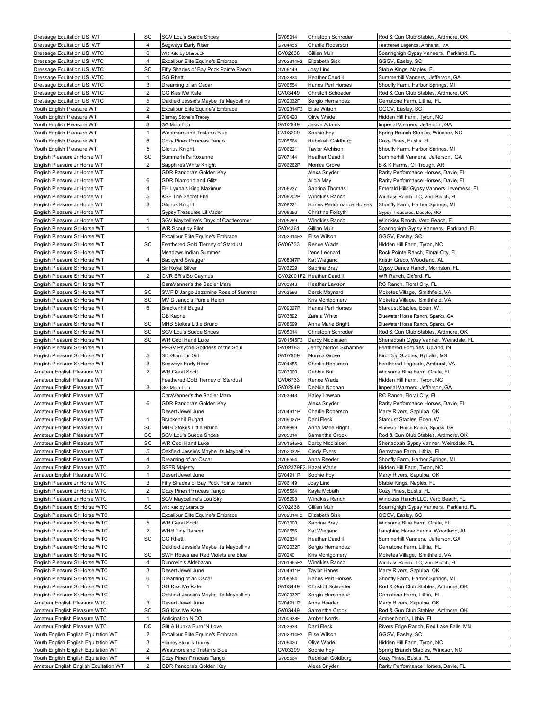| Dressage Equitation US WT                                                  | SC                  | <b>SGV Lou's Suede Shoes</b>                                      | GV05014              | Christoph Schroder                 | Rod & Gun Club Stables, Ardmore, OK                                     |
|----------------------------------------------------------------------------|---------------------|-------------------------------------------------------------------|----------------------|------------------------------------|-------------------------------------------------------------------------|
| Dressage Equitation US WT                                                  | 4                   | Segways Early Riser                                               | GV04455              | Charlie Roberson                   | Feathered Legends, Amherst, VA                                          |
| Dressage Equitation US WTC                                                 | 6                   | WR Kilo by Starbuck                                               | GV02838              | Gillian Muir                       | Soaringhigh Gypsy Vanners, Parkland, FL                                 |
| Dressage Equitation US WTC                                                 | 4                   | Excalibur Elite Equine's Embrace                                  | GV02314F2            | Elizabeth Sisk                     | GGGV, Easley, SC                                                        |
| Dressage Equitation US WTC                                                 | SC                  | Fifty Shades of Bay Pock Pointe Ranch                             | GV06149              | Josy Lind                          | Stable Kings, Naples, FL                                                |
| Dressage Equitation US WTC                                                 | 1                   | <b>GG Rhett</b>                                                   | GV02834              | Heather Caudill                    | Summerhill Vanners, Jefferson, GA                                       |
| Dressage Equitation US WTC                                                 | 3                   | Dreaming of an Oscar                                              | GV06554              | Hanes Perf Horses                  | Shoofly Farm, Harbor Springs, MI                                        |
| Dressage Equitation US WTC                                                 | 2                   | GG Kiss Me Kate                                                   | GV03449              | <b>Christoff Schoeder</b>          | Rod & Gun Club Stables, Ardmore, OK                                     |
| Dressage Equitation US WTC                                                 | 5                   | Oakfield Jessie's Maybe It's Maybelline                           | GV02032F             | Sergio Hernandez                   | Gemstone Farm, Lithia,  FL                                              |
| Youth English Pleasure WT                                                  | 2                   | Excalibur Elite Equine's Embrace                                  | GV02314F2            | Elise Wilson                       | GGGV, Easley, SC                                                        |
| Youth English Pleasure WT                                                  | 4                   | <b>Blarney Stone's Tracey</b>                                     | GV09420              | Olive Wade                         | Hidden Hill Farm, Tyron, NC                                             |
| Youth English Pleasure WT                                                  | 3                   | GG Mora Lisa                                                      | GV02949              | Jessie Adams                       | Imperial Vanners, Jefferson, GA                                         |
| Youth English Pleasure WT                                                  | $\mathbf{1}$        | Westmoreland Tristan's Blue                                       | GV03209              | Sophie Foy                         | Spring Branch Stables, Windsor, NC                                      |
| Youth English Pleasure WT                                                  | 6<br>5              | Cozy Pines Princess Tango                                         | GV05564              | Rebekah Goldburg                   | Cozy Pines, Eustis, FL                                                  |
| Youth English Pleasure WT                                                  | SC                  | Glorius Knight<br>Summerhill's Roxanne                            | GV06221<br>GV07144   | Taylor Atchison<br>Heather Caudill | Shoofly Farm, Harbor Springs, MI                                        |
| English Pleasure Jr Horse WT                                               | 2                   |                                                                   | GV06262P             |                                    | Summerhill Vanners, Jefferson, GA<br>B & K Farms, Oil Trough, AR        |
| English Pleasure Jr Horse WT<br>English Pleasure Jr Horse WT               |                     | Sapphires White Knight<br>GDR Pandora's Golden Key                |                      | Monica Grove<br>Alexa Snyder       | Rarity Performance Horses, Davie, FL                                    |
| English Pleasure Jr Horse WT                                               | 6                   | <b>GDR Diamond and Glitz</b>                                      |                      | Alicia May                         | Rarity Performance Horses, Davie, FL                                    |
| English Pleasure Jr Horse WT                                               | 4                   | EH Lyuba's King Maximus                                           | GV06237              | Sabrina Thomas                     | Emerald Hills Gypsy Vanners, Inverness, FL                              |
| English Pleasure Jr Horse WT                                               | 5                   | KSF The Secret Fire                                               | GV06202P             | Windkiss Ranch                     | Windkiss Ranch LLC, Vero Beach, FL                                      |
| English Pleasure Jr Horse WT                                               | 3                   | Glorius Knight                                                    | GV06221              | Hanes Performance Horses           | Shoofly Farm, Harbor Springs, MI                                        |
| English Pleasure Jr Horse WT                                               |                     | Gypsy Treasures Lil Vader                                         | GV06350              | Christine Forsyth                  | Gypsy Treasures, Desoto, MO                                             |
| English Pleasure Jr Horse WT                                               | $\mathbf{1}$        | SGV Maybelline's Onyx of Castlecomer                              | GV05299              | Windkiss Ranch                     | Windkiss Ranch, Vero Beach, FL                                          |
| English Pleasure Sr Horse WT                                               | $\mathbf{1}$        | <b>WR Scout by Pilot</b>                                          | GV04361              | Gillian Muir                       | Soaringhigh Gypsy Vanners, Parkland, FL                                 |
| English Pleasure Sr Horse WT                                               |                     | Excalibur Elite Equine's Embrace                                  | GV02314F2            | Elise Wilson                       | GGGV, Easley, SC                                                        |
| English Pleasure Sr Horse WT                                               | SC                  | Feathered Gold Tierney of Stardust                                | GV06733              | Renee Wade                         | Hidden Hill Farm, Tyron, NC                                             |
| English Pleasure Sr Horse WT                                               |                     | Meadows Indian Summer                                             |                      | Irene Leonard                      | Rock Pointe Ranch, Floral City, FL                                      |
| English Pleasure Sr Horse WT                                               | 4                   | Backyard Swagger                                                  | GV08347P             | Kat Wiegand                        | Kristin Greco, Woodland, AL                                             |
| English Pleasure Sr Horse WT                                               |                     | Sir Royal Silver                                                  | GV03229              | Sabrina Bray                       | Gypsy Dance Ranch, Morriston, FL                                        |
| English Pleasure Sr Horse WT                                               | $\overline{2}$      | GVR ER's Bo Caymus                                                | GV02001F2            | <b>Heather Caudill</b>             | WR Ranch, Oxford, FL                                                    |
| English Pleasure Sr Horse WT                                               |                     | CaraVanner's the Sadler Mare                                      | GV03943              | Heather Lawson                     | RC Ranch, Floral City, FL                                               |
| English Pleasure Sr Horse WT                                               | SC                  | SWF D'Jango Jazzmine Rose of Summer                               | GV03566              | Derek Maynard                      | Moketes Village, Smithfield, VA                                         |
| English Pleasure Sr Horse WT                                               | SC                  | MV D'Jango's Purple Reign                                         |                      | Kris Montgomery                    | Moketes Village, Smithfield, VA                                         |
| English Pleasure Sr Horse WT                                               | 6                   | Brackenhill Bugatti                                               | GV09027P             | Hanes Perf Horses                  | Stardust Stables, Eden, WI                                              |
| English Pleasure Sr Horse WT                                               |                     | <b>GB Kapriel</b>                                                 | GV03892              | Zanna White                        | Bluewater Horse Ranch, Sparks, GA                                       |
| English Pleasure Sr Horse WT                                               | SC                  | MHB Stokes Little Bruno                                           | GV08699              | Anna Marie Bright                  | Bluewater Horse Ranch, Sparks, GA                                       |
| English Pleasure Sr Horse WT                                               | SC                  | <b>SGV Lou's Suede Shoes</b>                                      | GV05014              | Christoph Schroder                 | Rod & Gun Club Stables, Ardmore, OK                                     |
| English Pleasure Sr Horse WT                                               | SC                  | WR Cool Hand Luke                                                 | GV01545F2            | Darby Nicolaisen                   | Shenadoah Gypsy Vanner, Weirsdale, FL                                   |
| English Pleasure Sr Horse WT                                               |                     | PPGV Psyche Goddess of the Soul                                   | GV09183              | Jenny Norton Schamber              | Feathered Fortunes, Upland, IN                                          |
| English Pleasure Sr Horse WT                                               | 5                   | SD Glamour Girl                                                   | GV07909              | Monica Grove                       | Bird Dog Stables, Byhalia, MS                                           |
| English Pleasure Sr Horse WT                                               | 3                   | Segways Early Riser                                               | GV04455              | Charlie Roberson                   | Feathered Legends, Amhurst, VA                                          |
| Amateur English Pleasure WT                                                | 2                   | <b>WR Great Scott</b>                                             | GV03000              | Debbie Bull                        | Winsome Blue Farm, Ocala, FL                                            |
| Amateur English Pleasure WT                                                |                     | Feathered Gold Tierney of Stardust                                | GV06733              | Renee Wade                         | Hidden Hill Farm, Tyron, NC                                             |
| Amateur English Pleasure WT                                                | 3                   | GG Mora Lisa                                                      | GV02949              | Debbie Noonan                      | Imperial Vanners, Jefferson, GA                                         |
| Amateur English Pleasure WT                                                |                     | CaraVanner's the Sadler Mare                                      | GV03943              | Haley Lawson                       | RC Ranch, Floral City, FL                                               |
| Amateur English Pleasure WT                                                | 6                   | GDR Pandora's Golden Key                                          |                      | Alexa Snyder                       | Rarity Performance Horses, Davie, FL                                    |
| Amateur English Pleasure WT                                                |                     | Desert Jewel June                                                 | GV04911P             | Charlie Roberson                   | Marty Rivers, Sapulpa, OK                                               |
| Amateur English Pleasure WT                                                | $\mathbf{1}$        | Brackenhill Bugatti                                               | GV09027P             | Dani Fleck                         | Stardust Stables, Eden, WI                                              |
| Amateur English Pleasure WT                                                | SC                  | MHB Stokes Little Bruno                                           | GV08699              | Anna Marie Bright                  | Bluewater Horse Ranch, Sparks, GA                                       |
| Amateur English Pleasure WT                                                | SC                  | SGV Lou's Suede Shoes                                             | GV05014              | Samantha Crook                     | Rod & Gun Club Stables, Ardmore, OK                                     |
| Amateur English Pleasure WT                                                | SC                  | WR Cool Hand Luke                                                 | GV01545F2            | Darby Nicolaisen                   | Shenadoah Gypsy Vanner, Weirsdale, FL                                   |
| Amateur English Pleasure WT                                                | 5                   | Oakfield Jessie's Maybe It's Maybelline                           | GV02032F             | Cindy Evers                        | Gemstone Farm, Lithia, FL                                               |
| Amateur English Pleasure WT                                                | 4                   | Dreaming of an Oscar                                              | GV06554              | Anna Reeder                        | Shoofly Farm, Harbor Springs, MI                                        |
| Amateur English Pleasure WTC                                               | 2                   | SSFR Majesty                                                      | GV02379F2            | Hazel Wade                         | Hidden Hill Farm, Tyron, NC                                             |
| Amateur English Pleasure WTC                                               | $\mathbf{1}$        | Desert Jewel June                                                 | GV04911P             | Sophie Foy                         | Marty Rivers, Sapulpa, OK                                               |
| English Pleasure Jr Horse WTC                                              | 3                   | Fifty Shades of Bay Pock Pointe Ranch                             | GV06149              | Josy Lind                          | Stable Kings, Naples, FL                                                |
| English Pleasure Jr Horse WTC                                              | 2                   | Cozy Pines Princess Tango                                         | GV05564              | Kayla Mcbath                       | Cozy Pines, Eustis, FL                                                  |
| English Pleasure Jr Horse WTC                                              | $\mathbf{1}$        | SGV Maybelline's Lou Sky                                          | GV05298              | Windkiss Ranch                     | Windkiss Ranch LLC, Vero Beach, FL                                      |
| English Pleasure Sr Horse WTC                                              | SC                  | WR Kilo by Starbuck                                               | GV02838              | Gillian Muir                       | Soaringhigh Gypsy Vanners, Parkland, FL                                 |
| English Pleasure Sr Horse WTC                                              |                     | Excalibur Elite Equine's Embrace                                  | GV02314F2            | Elizabeth Sisk                     | GGGV, Easley, SC                                                        |
| English Pleasure Sr Horse WTC                                              | 5                   | WR Great Scott                                                    | GV03000              | Sabrina Bray                       | Winsome Blue Farm, Ocala, FL                                            |
| English Pleasure Sr Horse WTC                                              | $\overline{2}$      | <b>WHR Tiny Dancer</b>                                            | GV06556              | Kat Wiegand                        | Laughing Horse Farms, Woodland, AL                                      |
| English Pleasure Sr Horse WTC                                              | SC                  | <b>GG Rhett</b>                                                   | GV02834              | <b>Heather Caudill</b>             | Summerhill Vanners, Jefferson, GA                                       |
| English Pleasure Sr Horse WTC                                              |                     | Oakfield Jessie's Maybe It's Maybelline                           | GV02032F             | Sergio Hernandez                   | Gemstone Farm, Lithia, FL                                               |
| English Pleasure Sr Horse WTC                                              | SC                  | SWF Roses are Red Violets are Blue                                | GV0240               | Kris Montgomery                    | Moketes Village, Smithfield, VA                                         |
| English Pleasure Sr Horse WTC                                              | 4                   | Dunrovin's Aldebaran                                              | GV01965F2            | Windkiss Ranch                     | Windkiss Ranch LLC, Vero Beach, FL                                      |
| English Pleasure Sr Horse WTC                                              | 3                   | Desert Jewel June                                                 | GV04911P             | Taylor Hanes                       | Marty Rivers, Sapulpa, OK                                               |
| English Pleasure Sr Horse WTC                                              | 6                   | Dreaming of an Oscar                                              | GV06554<br>GV03449   | Hanes Perf Horses                  | Shoofly Farm, Harbor Springs, MI<br>Rod & Gun Club Stables, Ardmore, OK |
| English Pleasure Sr Horse WTC                                              | $\mathbf{1}$        | GG Kiss Me Kate                                                   |                      | Christoff Schoeder                 |                                                                         |
| English Pleasure Sr Horse WTC                                              |                     | Oakfield Jessie's Maybe It's Maybelline                           | GV02032F             | Sergio Hernandez                   | Gemstone Farm, Lithia, FL                                               |
| Amateur English Pleasure WTC                                               | 3                   | Desert Jewel June                                                 | GV04911P             | Anna Reeder                        | Marty Rivers, Sapulpa, OK                                               |
| Amateur English Pleasure WTC                                               | SC                  | GG Kiss Me Kate                                                   | GV03449              | Samantha Crook                     | Rod & Gun Club Stables, Ardmore, OK                                     |
| Amateur English Pleasure WTC                                               | 1                   | Anticipation N'CO                                                 | GV00938F             | Amber Norris                       | Amber Norris, Lithia, FL                                                |
| Amateur English Pleasure WTC                                               | DQ                  | Gitt A Hunka Burn 'N Love                                         | GV03633              | Dani Fleck                         | Rivers Edge Ranch, Red Lake Falls, MN                                   |
| Youth English English Equitation WT<br>Youth English English Equitation WT | $\overline{2}$<br>3 | Excalibur Elite Equine's Embrace<br><b>Blarney Stone's Tracey</b> | GV02314F2<br>GV09420 | Elise Wilson<br>Olive Wade         | GGGV, Easley, SC<br>Hidden Hill Farm, Tyron, NC                         |
| Youth English English Equitation WT                                        | $\overline{2}$      | Westmoreland Tristan's Blue                                       | GV03209              | Sophie Foy                         | Spring Branch Stables, Windsor, NC                                      |
| Youth English English Equitation WT                                        | 4                   | Cozy Pines Princess Tango                                         | GV05564              | Rebekah Goldburg                   | Cozy Pines, Eustis, FL                                                  |
| Amateur English English Equitation WT                                      | 2                   | GDR Pandora's Golden Key                                          |                      | Alexa Snyder                       | Rarity Performance Horses, Davie, FL                                    |
|                                                                            |                     |                                                                   |                      |                                    |                                                                         |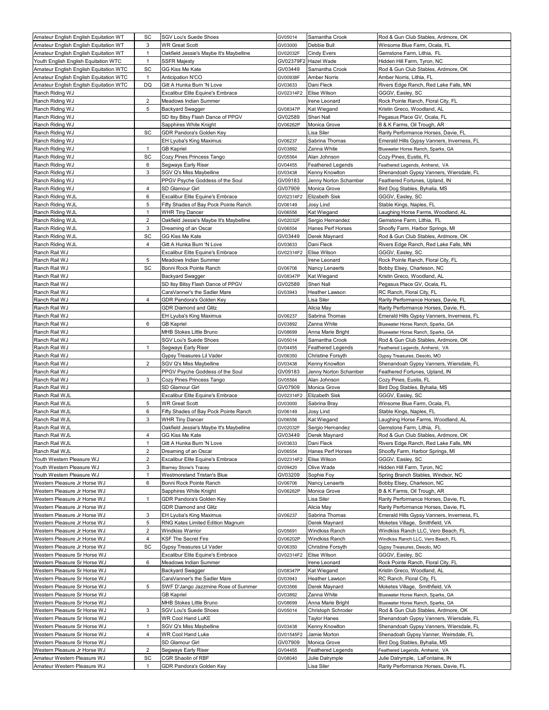| Amateur English English Equitation WT                        | SC             | <b>SGV Lou's Suede Shoes</b>                                  | GV05014            | Samantha Crook                | Rod & Gun Club Stables, Ardmore, OK                                          |
|--------------------------------------------------------------|----------------|---------------------------------------------------------------|--------------------|-------------------------------|------------------------------------------------------------------------------|
| Amateur English English Equitation WT                        | 3              | <b>WR Great Scott</b>                                         | GV03000            | Debbie Bull                   | Winsome Blue Farm, Ocala, FL                                                 |
| Amateur English English Equitation WT                        | $\mathbf{1}$   | Oakfield Jessie's Maybe It's Maybelline                       | GV02032F           | Cindy Evers                   | Gemstone Farm, Lithia, FL                                                    |
| Youth English English Equitation WTC                         | $\mathbf{1}$   | <b>SSFR Majesty</b>                                           | GV02379F2          | Hazel Wade                    | Hidden Hill Farm, Tyron, NC                                                  |
| Amateur English English Equitation WTC                       | SC             | GG Kiss Me Kate                                               | GV03449            | Samantha Crook                | Rod & Gun Club Stables, Ardmore, OK                                          |
| Amateur English English Equitation WTC                       | $\mathbf{1}$   | Anticipation N'CO                                             | GV00938F           | <b>Amber Norris</b>           | Amber Norris, Lithia, FL                                                     |
| Amateur English English Equitation WTC                       | DQ             | Gitt A Hunka Burn 'N Love                                     | GV03633            | Dani Fleck                    | Rivers Edge Ranch, Red Lake Falls, MN                                        |
| Ranch Riding WJ<br>Ranch Riding WJ                           | 2              | Excalibur Elite Equine's Embrace<br>Meadows Indian Summer     | GV02314F2          | Elise Wilson<br>Irene Leonard | GGGV, Easley, SC                                                             |
| Ranch Riding WJ                                              | 5              | <b>Backyard Swagger</b>                                       | GV08347P           | Kat Wiegand                   | Rock Pointe Ranch, Floral City, FL<br>Kristin Greco, Woodland, AL            |
| Ranch Riding WJ                                              |                | SD Itsy Bitsy Flash Dance of PPGV                             | GV02589            | Sheri Nall                    | Pegasus Place GV, Ocala, FL                                                  |
| Ranch Riding WJ                                              |                | Sapphires White Knight                                        | GV06262P           | Monica Grove                  | B & K Farms, Oil Trough, AR                                                  |
| Ranch Riding WJ                                              | SC             | GDR Pandora's Golden Key                                      |                    | Lisa Siler                    | Rarity Performance Horses, Davie, FL                                         |
| Ranch Riding WJ                                              |                | EH Lyuba's King Maximus                                       | GV06237            | Sabrina Thomas                | Emerald Hills Gypsy Vanners, Inverness, FL                                   |
| Ranch Riding WJ                                              | $\mathbf{1}$   | <b>GB Kapriel</b>                                             | GV03892            | Zanna White                   | Bluewater Horse Ranch, Sparks, GA                                            |
| Ranch Riding WJ                                              | SC             | Cozy Pines Princess Tango                                     | GV05564            | Alan Johnson                  | Cozy Pines, Eustis, FL                                                       |
| Ranch Riding WJ                                              | 6              | Segways Early Riser                                           | GV04455            | Feathered Legends             | Feathered Legends, Amherst, VA                                               |
| Ranch Riding WJ                                              | 3              | SGV Q's Miss Maybelline                                       | GV03438            | Kenny Knowlton                | Shenandoah Gypsy Vanners, Wiersdale, FL                                      |
| Ranch Riding WJ                                              |                | PPGV Psyche Goddess of the Soul                               | GV09183            | Jenny Norton Schamber         | Feathered Fortunes, Upland, IN                                               |
| Ranch Riding WJ                                              | 4              | SD Glamour Girl                                               | GV07909            | Monica Grove                  | Bird Dog Stables, Byhalia, MS                                                |
| Ranch Riding WJL                                             | 6              | Excalibur Elite Equine's Embrace                              | GV02314F2          | Elizabeth Sisk                | GGGV, Easley, SC                                                             |
| Ranch Riding WJL                                             | 5              | Fifty Shades of Bay Pock Pointe Ranch                         | GV06149            | Josy Lind                     | Stable Kings, Naples, FL                                                     |
| Ranch Riding WJL                                             | $\mathbf{1}$   | <b>WHR Tiny Dancer</b>                                        | GV06556            | Kat Wiegand                   | Laughing Horse Farms, Woodland, AL                                           |
| Ranch Riding WJL                                             | $\overline{2}$ | Oakfield Jessie's Maybe It's Maybelline                       | GV02032F           | Sergio Hernandez              | Gemstone Farm, Lithia, FL                                                    |
| Ranch Riding WJL                                             | 3              | Dreaming of an Oscar                                          | GV06554            | Hanes Perf Horses             | Shoofly Farm, Harbor Springs, MI                                             |
| Ranch Riding WJL                                             | SC             | GG Kiss Me Kate                                               | GV03449            | Derek Maynard                 | Rod & Gun Club Stables, Ardmore, OK                                          |
| Ranch Riding WJL<br>Ranch Rail WJ                            | 4              | Gitt A Hunka Burn 'N Love<br>Excalibur Elite Equine's Embrace | GV03633            | Dani Fleck<br>Elise Wilson    | Rivers Edge Ranch, Red Lake Falls, MN<br>GGGV, Easley, SC                    |
| Ranch Rail WJ                                                | 5              | Meadows Indian Summer                                         | GV02314F2          | Irene Leonard                 | Rock Pointe Ranch, Floral City, FL                                           |
| Ranch Rail WJ                                                | SC             | Bonni Rock Pointe Ranch                                       | GV06706            | Nancy Lenaerts                | Bobby Elsey, Charleson, NC                                                   |
| Ranch Rail WJ                                                |                | Backyard Swagger                                              | GV08347P           | Kat Wiegand                   | Kristin Greco, Woodland, AL                                                  |
| Ranch Rail WJ                                                |                | SD Itsy Bitsy Flash Dance of PPGV                             | GV02589            | Sheri Nall                    | Pegasus Place GV, Ocala, FL                                                  |
| Ranch Rail WJ                                                |                | CaraVanner's the Sadler Mare                                  | GV03943            | Heather Lawson                | RC Ranch, Floral City, FL                                                    |
| Ranch Rail WJ                                                | $\overline{4}$ | GDR Pandora's Golden Key                                      |                    | Lisa Siler                    | Rarity Performance Horses, Davie, FL                                         |
| Ranch Rail WJ                                                |                | <b>GDR Diamond and Glitz</b>                                  |                    | Alicia May                    | Rarity Performance Horses, Davie, FL                                         |
| Ranch Rail WJ                                                |                | EH Lyuba's King Maximus                                       | GV06237            | Sabrina Thomas                | Emerald Hills Gypsy Vanners, Inverness, FL                                   |
| Ranch Rail WJ                                                | 6              | <b>GB Kapriel</b>                                             | GV03892            | Zanna White                   | Bluewater Horse Ranch, Sparks, GA                                            |
| Ranch Rail WJ                                                |                | MHB Stokes Little Bruno                                       | GV08699            | Anna Marie Bright             | Bluewater Horse Ranch, Sparks, GA                                            |
| Ranch Rail WJ                                                |                | SGV Lou's Suede Shoes                                         | GV05014            | Samantha Crook                | Rod & Gun Club Stables, Ardmore, OK                                          |
|                                                              |                |                                                               |                    |                               |                                                                              |
| Ranch Rail WJ                                                | 1              | Segways Early Riser                                           | GV04455            | <b>Feathered Legends</b>      | Feathered Legends, Amherst, VA                                               |
| Ranch Rail WJ                                                |                | Gypsy Treasures Lil Vader                                     | GV06350            | Christine Forsyth             | Gypsy Treasures, Desoto, MO                                                  |
| Ranch Rail WJ                                                | $\overline{2}$ | SGV Q's Miss Maybelline                                       | GV03438            | Kenny Knowlton                | Shenandoah Gypsy Vanners, Wiersdale, FL                                      |
| Ranch Rail WJ                                                |                | PPGV Psyche Goddess of the Soul                               | GV09183            | Jenny Norton Schamber         | Feathered Fortunes, Upland, IN                                               |
| Ranch Rail WJ                                                | 3              | Cozy Pines Princess Tango                                     | GV05564            | Alan Johnson                  | Cozy Pines, Eustis, FL                                                       |
| Ranch Rail WJ                                                |                | SD Glamour Girl                                               | GV07909            | Monica Grove                  | Bird Dog Stables, Byhalia, MS                                                |
| Ranch Rail WJL                                               |                | Excalibur Elite Equine's Embrace                              | GV02314F2          | Elizabeth Sisk                | GGGV, Easley, SC                                                             |
| Ranch Rail WJL                                               | 5              | WR Great Scott                                                | GV03000            | Sabrina Bray                  | Winsome Blue Farm, Ocala, FL                                                 |
| Ranch Rail WJL                                               | 6              | Fifty Shades of Bay Pock Pointe Ranch                         | GV06149            | Josy Lind                     | Stable Kings, Naples, FL                                                     |
| Ranch Rail WJL                                               | 3              | <b>WHR Tiny Dancer</b>                                        | GV06556            | Kat Wiegand                   | aughing Horse Farms, Woodland, AL                                            |
| Ranch Rail WJL                                               |                | Oakfield Jessie's Maybe It's Maybelline                       | GV02032F           | Sergio Hernandez              | Gemstone Farm, Lithia, FL                                                    |
| Ranch Rail WJL<br>Ranch Rail WJL                             | 4<br>1         | GG Kiss Me Kate<br>Gitt A Hunka Burn 'N Love                  | GV03449<br>GV03633 | Derek Maynard<br>Dani Fleck   | Rod & Gun Club Stables, Ardmore, OK<br>Rivers Edge Ranch, Red Lake Falls, MN |
| Ranch Rail WJL                                               | $\overline{2}$ | Dreaming of an Oscar                                          | GV06554            | Hanes Perf Horses             | Shoofly Farm, Harbor Springs, MI                                             |
| Youth Western Pleasure WJ                                    | 2              | Excalibur Elite Equine's Embrace                              | GV02314F2          | Elise Wilson                  | GGGV, Easley, SC                                                             |
| Youth Western Pleasure WJ                                    | 3              | <b>Blarney Stone's Tracey</b>                                 | GV09420            | Olive Wade                    | Hidden Hill Farm, Tyron, NC                                                  |
| Youth Western Pleasure WJ                                    | 1              | Westmoreland Tristan's Blue                                   | GV03209            | Sophie Foy                    | Spring Branch Stables, Windsor, NC                                           |
| Western Pleasure Jr Horse WJ                                 | 6              | Bonni Rock Pointe Ranch                                       | GV06706            | Nancy Lenaerts                | Bobby Elsey, Charleson, NC                                                   |
| Western Pleasure Jr Horse WJ                                 |                | Sapphires White Knight                                        | GV06262P           | Monica Grove                  | B & K Farms, Oil Trough, AR                                                  |
| Western Pleasure Jr Horse WJ                                 | $\mathbf{1}$   | GDR Pandora's Golden Key                                      |                    | Lisa Siler                    | Rarity Performance Horses, Davie, FL                                         |
| Western Pleasure Jr Horse WJ                                 |                | <b>GDR Diamond and Glitz</b>                                  |                    | Alicia May                    | Rarity Performance Horses, Davie, FL                                         |
| Western Pleasure Jr Horse WJ                                 | 3              | EH Lyuba's King Maximus                                       | GV06237            | Sabrina Thomas                | Emerald Hills Gypsy Vanners, Inverness, FL                                   |
| Western Pleasure Jr Horse WJ                                 | 5              | RNG Kates Limited Edition Magnum                              |                    | Derek Maynard                 | Moketes Village, Smithfield, VA                                              |
| Western Pleasure Jr Horse WJ                                 | 2              | Windkiss Warrior                                              | GV05691            | Windkiss Ranch                | Windkiss Ranch LLC, Vero Beach, FL                                           |
| Western Pleasure Jr Horse WJ                                 | 4              | KSF The Secret Fire                                           | GV06202P           | Windkiss Ranch                | Windkiss Ranch LLC, Vero Beach, FL                                           |
| Western Pleasure Jr Horse WJ                                 | SC             | Gypsy Treasures Lil Vader                                     | GV06350            | Christine Forsyth             | Gypsy Treasures, Desoto, MO                                                  |
| Western Pleasure Sr Horse WJ                                 |                | Excalibur Elite Equine's Embrace                              | GV02314F2          | Elise Wilson                  | GGGV, Easley, SC                                                             |
| Western Pleasure Sr Horse WJ                                 | 6              | Meadows Indian Summer                                         | GV08347P           | Irene Leonard                 | Rock Pointe Ranch, Floral City, FL                                           |
| Western Pleasure Sr Horse WJ<br>Western Pleasure Sr Horse WJ |                | Backyard Swagger<br>CaraVanner's the Sadler Mare              | GV03943            | Kat Wiegand<br>Heather Lawson | Kristin Greco, Woodland, AL<br>RC Ranch, Floral City, FL                     |
| Western Pleasure Sr Horse WJ                                 | 5              | SWF D'Jango Jazzmine Rose of Summer                           | GV03566            | Derek Maynard                 | Moketes Village, Smithfield, VA                                              |
| Western Pleasure Sr Horse WJ                                 |                | <b>GB Kapriel</b>                                             | GV03892            | Zanna White                   | Bluewater Horse Ranch, Sparks, GA                                            |
| Western Pleasure Sr Horse WJ                                 |                | MHB Stokes Little Bruno                                       | GV08699            | Anna Marie Bright             | Bluewater Horse Ranch, Sparks, GA                                            |
| Western Pleasure Sr Horse WJ                                 | 3              | <b>SGV Lou's Suede Shoes</b>                                  | GV05014            | Christoph Schroder            | Rod & Gun Club Stables, Ardmore, OK                                          |
| Western Pleasure Sr Horse WJ                                 |                | WR Cool Hand LuKE                                             |                    | <b>Taylor Hanes</b>           | Shenandoah Gypsy Vanners, Wiersdale, FL                                      |
| Western Pleasure Sr Horse WJ                                 | $\mathbf{1}$   | SGV Q's Miss Maybelline                                       | GV03438            | Kenny Knowlton                | Shenandoah Gypsy Vanners, Wiersdale, FL                                      |
| Western Pleasure Sr Horse WJ                                 | 4              | WR Cool Hand Luke                                             | GV01545F2          | Jamie Morton                  | Shenadoah Gypsy Vanner, Weirsdale, FL                                        |
| Western Pleasure Sr Horse WJ                                 |                | SD Glamour Girl                                               | GV07909            | Monica Grove                  | Bird Dog Stables, Byhalia, MS                                                |
| Western Pleasure Jr Horse WJ                                 | 2              | Segways Early Riser                                           | GV04455            | Feathered Legends             | Feathered Legends, Amherst, VA                                               |
| Amateur Western Pleasure WJ<br>Amateur Western Pleasure WJ   | SC<br>1        | CGR Shaolin of RBF<br>GDR Pandora's Golden Key                | GV08040            | Julie Dalrymple<br>Lisa Siler | Julie Dalrymple, LaFontaine, IN<br>Rarity Performance Horses, Davie, FL      |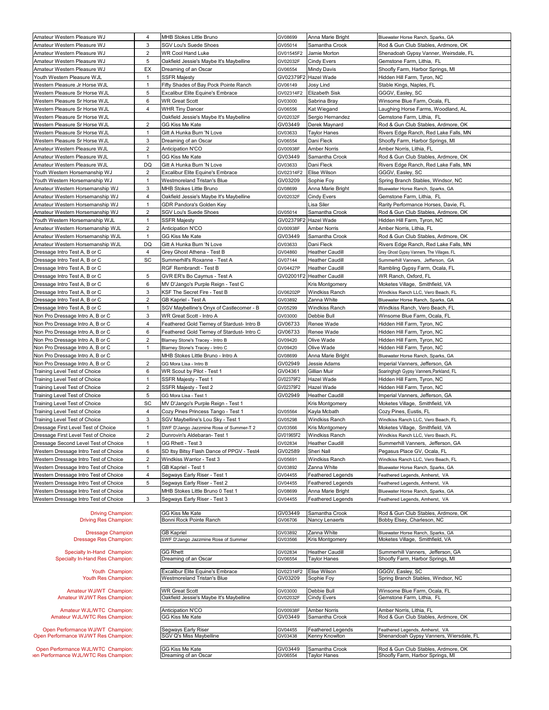| Amateur Western Pleasure WJ                                                | 4              | MHB Stokes Little Bruno                     | GV08699            | Anna Marie Bright                             | Bluewater Horse Ranch, Sparks, GA                                       |
|----------------------------------------------------------------------------|----------------|---------------------------------------------|--------------------|-----------------------------------------------|-------------------------------------------------------------------------|
| Amateur Western Pleasure WJ                                                | 3              | SGV Lou's Suede Shoes                       | GV05014            | Samantha Crook                                | Rod & Gun Club Stables, Ardmore, OK                                     |
| Amateur Western Pleasure WJ                                                | 2              | WR Cool Hand Luke                           | GV01545F2          | Jamie Morton                                  | Shenadoah Gypsy Vanner, Weirsdale, FL                                   |
| Amateur Western Pleasure WJ                                                | 5              | Oakfield Jessie's Maybe It's Maybelline     | GV02032F           | <b>Cindy Evers</b>                            | Gemstone Farm, Lithia, FL                                               |
| Amateur Western Pleasure WJ                                                | EX             | Dreaming of an Oscar                        | GV06554            | <b>Mindy Davis</b>                            | Shoofly Farm, Harbor Springs, MI                                        |
| Youth Western Pleasure WJL                                                 | $\mathbf{1}$   | SSFR Majesty                                |                    | GV02379F2 Hazel Wade                          | Hidden Hill Farm, Tyron, NC                                             |
| Western Pleasure Jr Horse WJL                                              | $\mathbf{1}$   | Fifty Shades of Bay Pock Pointe Ranch       | GV06149            | Josy Lind                                     | Stable Kings, Naples, FL                                                |
| Western Pleasure Sr Horse WJL                                              | 5              | Excalibur Elite Equine's Embrace            | GV02314F2          | Elizabeth Sisk                                | GGGV, Easley, SC                                                        |
| Western Pleasure Sr Horse WJL                                              | 6              | <b>WR Great Scott</b>                       | GV03000            | Sabrina Bray                                  | Winsome Blue Farm, Ocala, FL                                            |
|                                                                            |                |                                             |                    |                                               |                                                                         |
| Western Pleasure Sr Horse WJL                                              | 4              | <b>WHR Tiny Dancer</b>                      | GV06556            | Kat Wiegand                                   | Laughing Horse Farms, Woodland, AL                                      |
| Western Pleasure Sr Horse WJL                                              |                | Oakfield Jessie's Maybe It's Maybelline     | GV02032F           | Sergio Hernandez                              | Gemstone Farm, Lithia, FL                                               |
| Western Pleasure Sr Horse WJL                                              | $\overline{2}$ | GG Kiss Me Kate                             | GV03449            | Derek Maynard                                 | Rod & Gun Club Stables, Ardmore, OK                                     |
| Western Pleasure Sr Horse WJL                                              | $\mathbf{1}$   | Gitt A Hunka Burn 'N Love                   | GV03633            | <b>Taylor Hanes</b>                           | Rivers Edge Ranch, Red Lake Falls, MN                                   |
| Western Pleasure Sr Horse WJL                                              | 3              | Dreaming of an Oscar                        | GV06554            | Dani Fleck                                    | Shoofly Farm, Harbor Springs, MI                                        |
| Amateur Western Pleasure WJL                                               | 2              | Anticipation N'CO                           | GV00938F           | <b>Amber Norris</b>                           | Amber Norris, Lithia, FL                                                |
| Amateur Western Pleasure WJL                                               | $\mathbf{1}$   | GG Kiss Me Kate                             | GV03449            | Samantha Crook                                | Rod & Gun Club Stables, Ardmore, OK                                     |
| Amateur Western Pleasure WJL                                               | DQ             | Gitt A Hunka Burn 'N Love                   | GV03633            | Dani Fleck                                    | Rivers Edge Ranch, Red Lake Falls, MN                                   |
| Youth Western Horsemanship WJ                                              | 2              | Excalibur Elite Equine's Embrace            | GV02314F2          | Elise Wilson                                  | GGGV, Easley, SC                                                        |
| Youth Western Horsemanship WJ                                              | $\mathbf{1}$   | Westmoreland Tristan's Blue                 | GV03209            | Sophie Foy                                    | Spring Branch Stables, Windsor, NC                                      |
| Amateur Western Horsemanship WJ                                            | 3              | MHB Stokes Little Bruno                     | GV08699            | Anna Marie Bright                             | Bluewater Horse Ranch, Sparks, GA                                       |
| Amateur Western Horsemanship WJ                                            | $\overline{4}$ | Oakfield Jessie's Maybe It's Maybelline     | GV02032F           | <b>Cindy Evers</b>                            | Gemstone Farm, Lithia, FL                                               |
| Amateur Western Horsemanship WJ                                            | $\mathbf{1}$   | GDR Pandora's Golden Key                    |                    | Lisa Siler                                    | Rarity Performance Horses, Davie, FL                                    |
| Amateur Western Horsemanship WJ                                            | 2              | <b>SGV Lou's Suede Shoes</b>                | GV05014            | Samantha Crook                                | Rod & Gun Club Stables, Ardmore, OK                                     |
| Youth Western Horsemanship WJL                                             |                |                                             |                    |                                               |                                                                         |
|                                                                            | 1              | <b>SSFR Majesty</b>                         |                    | GV02379F2 Hazel Wade                          | Hidden Hill Farm, Tyron, NC                                             |
| Amateur Western Horsemanship WJL                                           | $\overline{2}$ | Anticipation N'CO                           | GV00938F           | Amber Norris                                  | Amber Norris, Lithia, FL                                                |
| Amateur Western Horsemanship WJL                                           | $\mathbf{1}$   | GG Kiss Me Kate                             | GV03449            | Samantha Crook                                | Rod & Gun Club Stables, Ardmore, OK                                     |
| Amateur Western Horsemanship WJL                                           | DQ             | Gitt A Hunka Burn 'N Love                   | GV03633            | Dani Fleck                                    | Rivers Edge Ranch, Red Lake Falls, MN                                   |
| Dressage Intro Test A, B or C                                              | 4              | Grey Ghost Athena - Test B                  | GV04860            | <b>Heather Caudill</b>                        | Grey Ghost Gypsy Vanners, The Villages, FL                              |
| Dressage Intro Test A, B or C                                              | SC             | Summerhill's Roxanne - Test A               | GV07144            | <b>Heather Caudill</b>                        | Summerhill Vanners, Jefferson, GA                                       |
| Dressage Intro Test A, B or C                                              |                | RGF Rembrandt - Test B                      | GV04427P           | <b>Heather Caudill</b>                        | Rambling Gypsy Farm, Ocala, FL                                          |
| Dressage Intro Test A, B or C                                              | 5              | GVR ER's Bo Caymus - Test A                 |                    | GV02001F2 Heather Caudill                     | WR Ranch, Oxford, FL                                                    |
| Dressage Intro Test A, B or C                                              | 6              | MV D'Jango's Purple Reign - Test C          |                    | Kris Montgomery                               | Moketes Village, Smithfield, VA                                         |
| Dressage Intro Test A, B or C                                              | 3              | KSF The Secret Fire - Test B                | GV06202P           | Windkiss Ranch                                | Windkiss Ranch LLC, Vero Beach, FL                                      |
| Dressage Intro Test A, B or C                                              | 2              | GB Kapriel - Test A                         | GV03892            | Zanna White                                   | Bluewater Horse Ranch, Sparks, GA                                       |
| Dressage Intro Test A, B or C                                              | $\mathbf{1}$   | SGV Maybelline's Onyx of Castlecomer - B    | GV05299            | <b>Windkiss Ranch</b>                         | Windkiss Ranch, Vero Beach, FL                                          |
| Non Pro Dressage Intro A, B or C                                           | 3              | WR Great Scott - Intro A                    | GV03000            | Debbie Bull                                   | Winsome Blue Farm, Ocala, FL                                            |
|                                                                            |                |                                             |                    |                                               |                                                                         |
| Non Pro Dressage Intro A, B or C                                           | 4              | Feathered Gold Tierney of Stardust- Intro B | GV06733            | Renee Wade                                    | Hidden Hill Farm, Tyron, NC                                             |
| Non Pro Dressage Intro A, B or C                                           | 6              | Feathered Gold Tierney of Stardust- Intro C | GV06733            | Renee Wade                                    | Hidden Hill Farm, Tyron, NC                                             |
| Non Pro Dressage Intro A, B or C                                           | $\overline{2}$ | Blarney Stone's Tracey - Intro B            | GV09420            | Olive Wade                                    | Hidden Hill Farm, Tyron, NC                                             |
| Non Pro Dressage Intro A, B or C                                           | $\mathbf{1}$   | Blarney Stone's Tracey - Intro C            | GV09420            | Olive Wade                                    | Hidden Hill Farm, Tyron, NC                                             |
| Non Pro Dressage Intro A, B or C                                           |                | MHB Stokes Little Bruno - Intro A           | GV08699            | Anna Marie Bright                             | Bluewater Horse Ranch, Sparks, GA                                       |
|                                                                            |                |                                             |                    |                                               |                                                                         |
| Non Pro Dressage Intro A, B or C                                           | 2              | GG Mora Lisa - Intro B                      | GV02949            | Jessie Adams                                  | Imperial Vanners, Jefferson, GA                                         |
| Training Level Test of Choice                                              | 6              | WR Scout by Pilot - Test 1                  | GV04361            | Gillian Muir                                  | Soaringhigh Gypsy Vanners, Parkland, FL                                 |
| Training Level Test of Choice                                              | $\mathbf{1}$   | SSFR Majesty - Test 1                       | GV02379F2          | Hazel Wade                                    | Hidden Hill Farm, Tyron, NC                                             |
| Training Level Test of Choice                                              | $\overline{2}$ | SSFR Majesty - Test 2                       | GV02379F2          | Hazel Wade                                    | Hidden Hill Farm, Tyron, NC                                             |
|                                                                            | 5              |                                             | GV02949            |                                               |                                                                         |
| Training Level Test of Choice                                              |                | GG Mora Lisa - Test 1                       |                    | <b>Heather Caudill</b>                        | Imperial Vanners, Jefferson, GA                                         |
| Training Level Test of Choice                                              | SC             | MV D'Jango's Purple Reign - Test 1          |                    | Kris Montgomery                               | Moketes Village, Smithfield, VA                                         |
| Training Level Test of Choice                                              | 4              | Cozy Pines Princess Tango - Test 1          | GV05564            | Kayla Mcbath                                  | Cozy Pines, Eustis, FL                                                  |
| Training Level Test of Choice                                              | 3              | SGV Maybelline's Lou Sky - Test 1           | GV05298            | Windkiss Ranch                                | Windkiss Ranch LLC, Vero Beach, FL                                      |
| Dressage First Level Test of Choice                                        | 1              | SWF D'Jango Jazzmine Rose of Summer-T 2     | GV03566            | Kris Montgomery                               | Moketes Village, Smithfield, VA                                         |
| Dressage First Level Test of Choice                                        | $\overline{2}$ | Dunrovin's Aldebaran- Test 1                | GV01965F2          | <b>Windkiss Ranch</b>                         | Windkiss Ranch LLC, Vero Beach, FL                                      |
| Dressage Second Level Test of Choice                                       | 1              | GG Rhett - Test 3                           | GV02834            | <b>Heather Caudill</b>                        | Summerhill Vanners, Jefferson, GA                                       |
| Western Dressage Intro Test of Choice                                      | 6              | SD Itsy Bitsy Flash Dance of PPGV - Test4   | GV02589            | Sheri Nall                                    | Pegasus Place GV, Ocala, FL                                             |
| Western Dressage Intro Test of Choice                                      | 2              | Windkiss Warrior - Test 3                   | GV05691            | Windkiss Ranch                                | Windkiss Ranch LLC, Vero Beach, FL                                      |
| Western Dressage Intro Test of Choice                                      | 1              | GB Kapriel - Test 1                         | GV03892            | Zanna White                                   | Bluewater Horse Ranch, Sparks, GA                                       |
| Western Dressage Intro Test of Choice                                      | 4              | Segways Early Riser - Test 1                | GV04455            | <b>Feathered Legends</b>                      | Feathered Legends, Amherst, VA                                          |
| Western Dressage Intro Test of Choice                                      | 5              | Segways Early Riser - Test 2                | GV04455            | Feathered Legends                             | Feathered Legends, Amherst, VA                                          |
| Western Dressage Intro Test of Choice                                      |                | MHB Stokes Little Bruno 0 Test 1            | GV08699            | Anna Marie Bright                             | Bluewater Horse Ranch, Sparks, GA                                       |
| Western Dressage Intro Test of Choice                                      | 3              | Segways Early Riser - Test 3                | GV04455            | <b>Feathered Legends</b>                      | Feathered Legends, Amherst, VA                                          |
|                                                                            |                |                                             |                    |                                               |                                                                         |
| <b>Driving Champion:</b>                                                   |                | GG Kiss Me Kate                             | GV03449            | Samantha Crook                                | Rod & Gun Club Stables, Ardmore, OK                                     |
| <b>Driving Res Champion:</b>                                               |                | Bonni Rock Pointe Ranch                     | GV06706            | Nancy Lenaerts                                | Bobby Elsey, Charleson, NC                                              |
|                                                                            |                |                                             |                    |                                               |                                                                         |
| <b>Dressage Champion</b>                                                   |                | <b>GB Kapriel</b>                           | GV03892            | Zanna White                                   | Bluewater Horse Ranch, Sparks, GA                                       |
| Dressage Res Champion:                                                     |                | SWF D'Jango Jazzmine Rose of Summer         | GV03566            | Kris Montgomery                               | Moketes Village, Smithfield, VA                                         |
|                                                                            |                |                                             |                    |                                               |                                                                         |
| Specialty In-Hand Champion:<br>Specialty In-Hand Res Champion:             |                | <b>GG Rhett</b><br>Dreaming of an Oscar     | GV02834<br>GV06554 | <b>Heather Caudill</b><br><b>Taylor Hanes</b> | Summerhill Vanners, Jefferson, GA<br>Shoofly Farm, Harbor Springs, MI   |
|                                                                            |                |                                             |                    |                                               |                                                                         |
| Youth Champion:                                                            |                | Excalibur Elite Equine's Embrace            | GV02314F2          | Elise Wilson                                  | GGGV, Easley, SC                                                        |
| Youth Res Champion:                                                        |                | Westmoreland Tristan's Blue                 | GV03209            | Sophie Foy                                    | Spring Branch Stables, Windsor, NC                                      |
|                                                                            |                |                                             |                    |                                               |                                                                         |
| Amateur WJ/WT Champion:                                                    |                | <b>WR Great Scott</b>                       | GV03000            | Debbie Bull                                   | Winsome Blue Farm, Ocala, FL                                            |
| Amateur WJ/WT Res Champion:                                                |                | Oakfield Jessie's Maybe It's Maybelline     | GV02032F           | <b>Cindy Evers</b>                            | Gemstone Farm, Lithia, FL                                               |
| Amateur WJL/WTC Champion:                                                  |                | Anticipation N'CO                           | GV00938F           | <b>Amber Norris</b>                           | Amber Norris, Lithia, FL                                                |
| Amateur WJL/WTC Res Champion:                                              |                | GG Kiss Me Kate                             | GV03449            | Samantha Crook                                | Rod & Gun Club Stables, Ardmore, OK                                     |
|                                                                            |                |                                             |                    |                                               |                                                                         |
| Open Performance WJ/WT Champion:                                           |                | Segways Early Riser                         | GV04455            | <b>Feathered Legends</b>                      | Feathered Legends, Amherst, VA                                          |
| Open Performance WJ/WT Res Champion:                                       |                | SGV Q's Miss Maybelline                     | GV03438            | Kenny Knowlton                                | Shenandoah Gypsy Vanners, Wiersdale, FL                                 |
|                                                                            |                |                                             |                    |                                               |                                                                         |
| Open Performance WJL/WTC Champion:<br>en Performance WJL/WTC Res Champion: |                | GG Kiss Me Kate<br>Dreaming of an Oscar     | GV03449<br>GV06554 | Samantha Crook<br><b>Taylor Hanes</b>         | Rod & Gun Club Stables, Ardmore, OK<br>Shoofly Farm, Harbor Springs, MI |